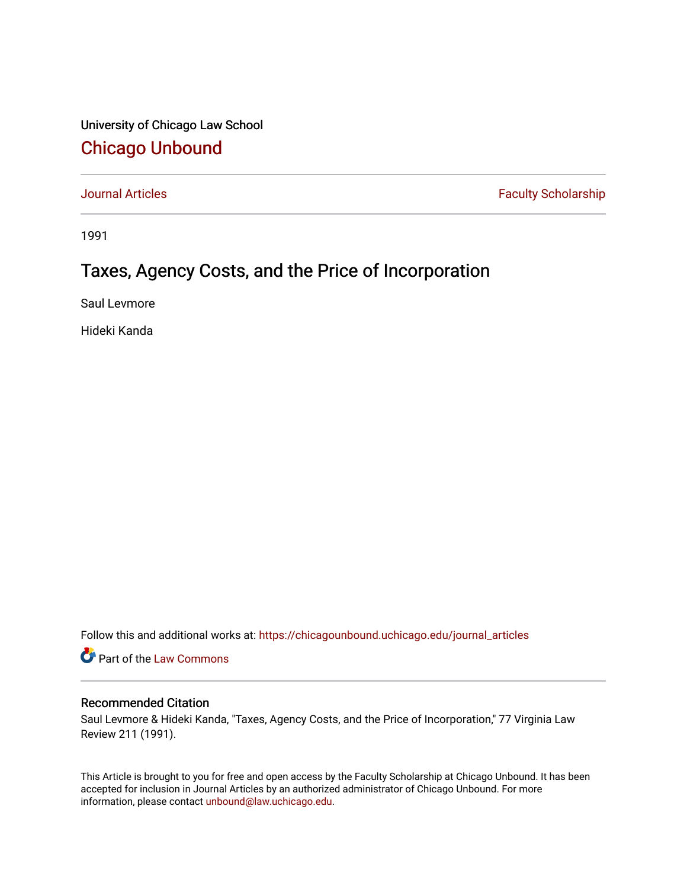University of Chicago Law School [Chicago Unbound](https://chicagounbound.uchicago.edu/)

[Journal Articles](https://chicagounbound.uchicago.edu/journal_articles) **Faculty Scholarship Faculty Scholarship** 

1991

# Taxes, Agency Costs, and the Price of Incorporation

Saul Levmore

Hideki Kanda

Follow this and additional works at: [https://chicagounbound.uchicago.edu/journal\\_articles](https://chicagounbound.uchicago.edu/journal_articles?utm_source=chicagounbound.uchicago.edu%2Fjournal_articles%2F1620&utm_medium=PDF&utm_campaign=PDFCoverPages) 

Part of the [Law Commons](http://network.bepress.com/hgg/discipline/578?utm_source=chicagounbound.uchicago.edu%2Fjournal_articles%2F1620&utm_medium=PDF&utm_campaign=PDFCoverPages)

# Recommended Citation

Saul Levmore & Hideki Kanda, "Taxes, Agency Costs, and the Price of Incorporation," 77 Virginia Law Review 211 (1991).

This Article is brought to you for free and open access by the Faculty Scholarship at Chicago Unbound. It has been accepted for inclusion in Journal Articles by an authorized administrator of Chicago Unbound. For more information, please contact [unbound@law.uchicago.edu](mailto:unbound@law.uchicago.edu).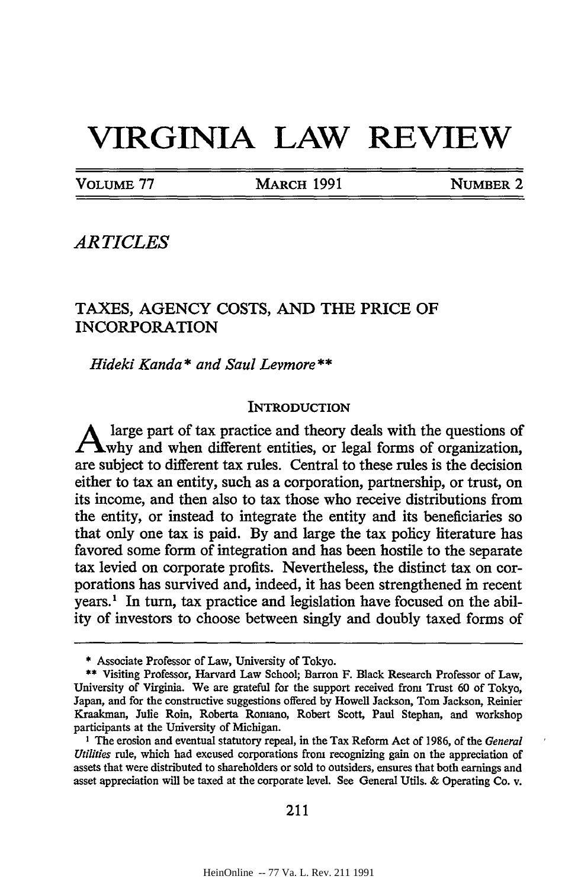# **VIRGINIA LAW REVIEW**

VOLUME 77 MARCH 1991 **NUMBER** 2

*ARTICLES*

# TAXES, AGENCY COSTS, AND THE PRICE OF INCORPORATION

*Hideki Kanda \* and Saul Levmore\*\**

#### **INTRODUCTION**

large part of tax practice and theory deals with the questions of A large part of tax practice and server,  $\frac{1}{2}$  forms of organization, are subject to different tax rules. Central to these rules is the decision either to tax an entity, such as a corporation, partnership, or trust, on its income, and then also to tax those who receive distributions from the entity, or instead to integrate the entity and its beneficiaries so that only one tax is paid. By and large the tax policy literature has favored some form of integration and has been hostile to the separate tax levied on corporate profits. Nevertheless, the distinct tax on corporations has survived and, indeed, it has been strengthened in recent years.' In turn, tax practice and legislation have focused on the ability of investors to choose between singly and doubly taxed forms of

**<sup>•</sup>** Associate Professor of Law, University of Tokyo.

<sup>\*\*</sup> Visiting Professor, Harvard Law School; Barron F. Black Research Professor of Law, University of Virginia. We are grateful for the support received from Trust 60 of Tokyo, Japan, and for the constructive suggestions offered by Howell Jackson, Tom Jackson, Reinier Kraakman, Julie Roin, Roberta Romano, Robert Scott, Paul Stephan, and workshop participants at the University of Michigan.

**I** The erosion and eventual statutory repeal, in the Tax Reform Act of 1986, of the *General Utilities* rule, which had excused corporations from recognizing gain on the appreciation of assets that were distributed to shareholders or sold to outsiders, ensures that both earnings and asset appreciation will be taxed at the corporate level. See General Utils. & Operating Co. v.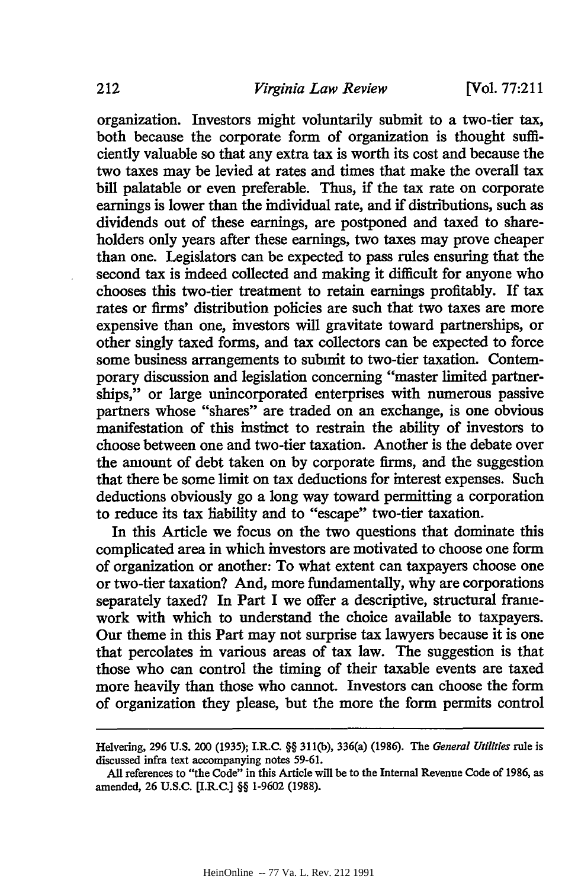[Vol. **77:211**

organization. Investors might voluntarily submit to a two-tier tax, both because the corporate form of organization is thought sufficiently valuable so that any extra tax is worth its cost and because the two taxes may be levied at rates and times that make the overall tax bill palatable or even preferable. Thus, if the tax rate on corporate earnings is lower than the individual rate, and if distributions, such as dividends out of these earnings, are postponed and taxed to shareholders only years after these earnings, two taxes may prove cheaper than one. Legislators can be expected to pass rules ensuring that the second tax is indeed collected and making it difficult for anyone who chooses this two-tier treatment to retain earnings profitably. If tax rates or firms' distribution policies are such that two taxes are more expensive than one, investors will gravitate toward partnerships, or other singly taxed forms, and tax collectors can be expected to force some business arrangements to submit to two-tier taxation. Contemporary discussion and legislation concerning "master limited partnerships," or large unincorporated enterprises with numerous passive partners whose "shares" are traded on an exchange, is one obvious manifestation of this instinct to restrain the ability of investors to choose between one and two-tier taxation. Another is the debate over the amount of debt taken on by corporate firms, and the suggestion that there be some limit on tax deductions for interest expenses. Such deductions obviously go a long way toward permitting a corporation to reduce its tax liability and to "escape" two-tier taxation.

In this Article we focus on the two questions that dominate this complicated area in which investors are motivated to choose one form of organization or another: To what extent can taxpayers choose one or two-tier taxation? And, more fundamentally, why are corporations separately taxed? In Part I we offer a descriptive, structural framework with which to understand the choice available to taxpayers. Our theme in this Part may not surprise tax lawyers because it is one that percolates in various areas of tax law. The suggestion is that those who can control the timing of their taxable events are taxed more heavily than those who cannot. Investors can choose the form of organization they please, but the more the form permits control

Helvering, 296 U.S. 200 (1935); I.R.C. §§ 311(b), 336(a) (1986). The *General Utilities* rule is discussed infra text accompanying notes 59-61.

All references to "the Code" in this Article will be to the Internal Revenue Code of 1986, as amended, 26 U.S.C. [I.R.C.] §§ 1-9602 (1988).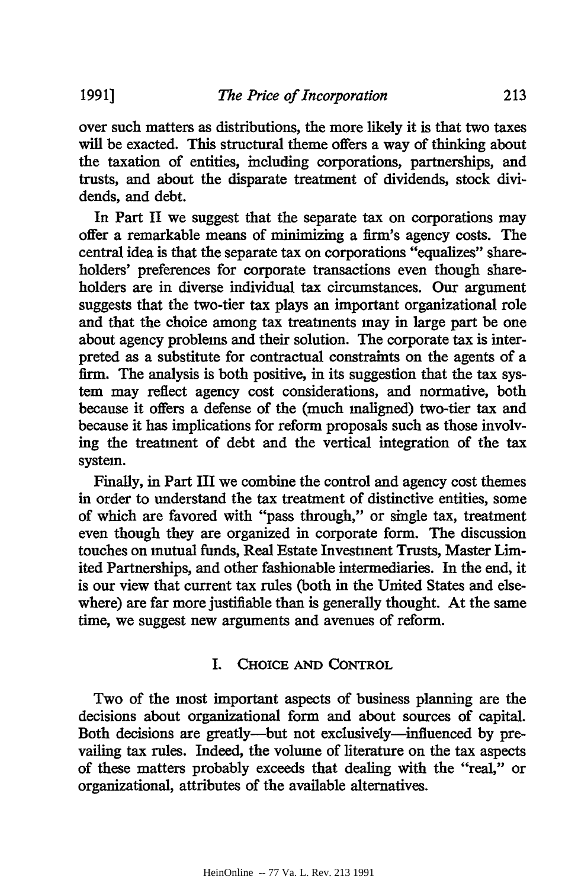over such matters as distributions, the more likely it is that two taxes will be exacted. This structural theme offers a way of thinking about the taxation of entities, including corporations, partnerships, and trusts, and about the disparate treatment of dividends, stock dividends, and debt.

In Part II we suggest that the separate tax on corporations may offer a remarkable means of minimizing a firm's agency costs. The central idea is that the separate tax on corporations "equalizes" shareholders' preferences for corporate transactions even though shareholders are in diverse individual tax circumstances. Our argument suggests that the two-tier tax plays an important organizational role and that the choice among tax treatments may in large part be one about agency problems and their solution. The corporate tax is interpreted as a substitute for contractual constraints on the agents of a firm. The analysis is both positive, in its suggestion that the tax system may reflect agency cost considerations, and normative, both because it offers a defense of the (much maligned) two-tier tax and because it has implications for reform proposals such as those involving the treatment of debt and the vertical integration of the tax system.

Finally, in Part III we combine the control and agency cost themes in order to understand the tax treatment of distinctive entities, some of which are favored with "pass through," or single tax, treatment even though they are organized in corporate form. The discussion touches on mutual funds, Real Estate Investment Trusts, Master Limited Partnerships, and other fashionable intermediaries. In the end, it is our view that current tax rules (both in the United States and elsewhere) are far more justifiable than is generally thought. At the same time, we suggest new arguments and avenues of reform.

# I. CHOICE **AND CONTROL**

Two of the most important aspects of business planning are the decisions about organizational form and about sources of capital. Both decisions are greatly-but not exclusively-influenced by prevailing tax rules. Indeed, the volume of literature on the tax aspects of these matters probably exceeds that dealing with the "real," or organizational, attributes of the available alternatives.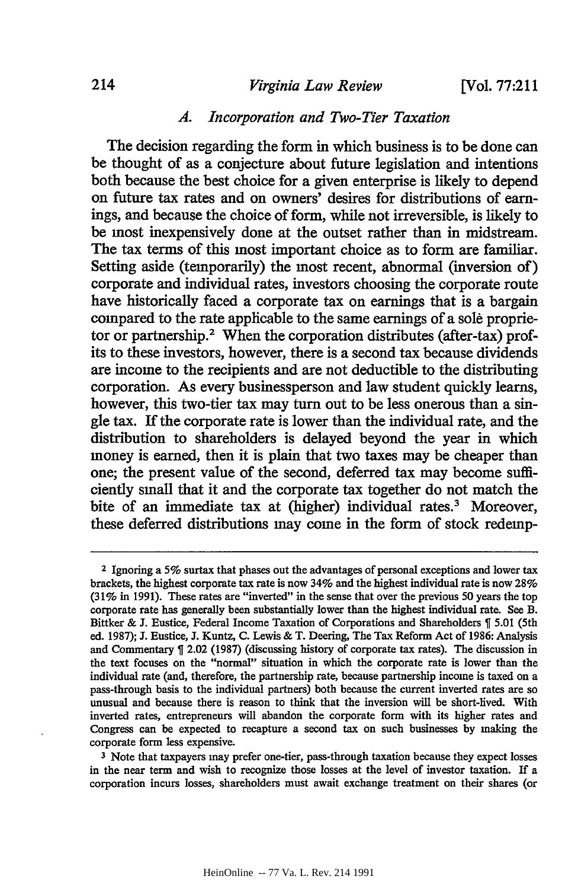#### *Virginia Law Review*

**[Vol. 77:211**

#### *A. Incorporation and Two-Tier Taxation*

The decision regarding the form in which business is to be done can be thought of as a conjecture about future legislation and intentions both because the best choice for a given enterprise is likely to depend on future tax rates and on owners' desires for distributions of earnings, and because the choice of form, while not irreversible, is likely to be most inexpensively done at the outset rather than in midstream. The tax terms of this most important choice as to form are familiar. Setting aside (temporarily) the most recent, abnormal (inversion of) corporate and individual rates, investors choosing the corporate route have historically faced a corporate tax on earnings that is a bargain compared to the rate applicable to the same earnings of a **sole** proprietor or partnership.2 When the corporation distributes (after-tax) profits to these investors, however, there is a second tax because dividends are income to the recipients and are not deductible to the distributing corporation. As every businessperson and law student quickly learns, however, this two-tier tax may turn out to be less onerous than a single tax. If the corporate rate is lower than the individual rate, and the distribution to shareholders is delayed beyond the year in which money is earned, then it is plain that two taxes may be cheaper than one; the present value of the second, deferred tax may become sufficiently small that it and the corporate tax together do not match the bite of an immediate tax at (higher) individual rates.' Moreover, these deferred distributions may come in the form of stock redemp-

**<sup>3</sup>**Note that taxpayers may prefer one-tier, pass-through taxation because they expect losses in the near term and wish to recognize those losses at the level of investor taxation. If a corporation incurs losses, shareholders must await exchange treatment on their shares (or

**<sup>2</sup>**Ignoring a **5%** surtax that phases out the advantages of personal exceptions and lower tax brackets, the highest corporate tax rate is now 34% and the highest individual rate is now **28%** (31% in 1991). These rates are "inverted" in the sense that over the previous 50 years the top corporate rate has generally been substantially lower than the highest individual rate. See B. Bittker & J. Eustice, Federal Income Taxation of Corporations and Shareholders **%** 5.01 (5th ed. 1987); J. Eustice, **J.** Kuntz, C. Lewis **&** T. Deering, The Tax Reform Act of 1986: Analysis and Commentary T 2.02 (1987) (discussing history of corporate tax rates). The discussion in the text focuses on the "normal" situation in which the corporate rate is lower than the individual rate (and, therefore, the partnership rate, because partnership income is taxed on a pass-through basis to the individual partners) both because the current inverted rates are so unusual and because there is reason to think that the inversion will be short-lived. With inverted rates, entrepreneurs will abandon the corporate form with its higher rates and Congress can be expected to recapture a second tax on such businesses by making the corporate form less expensive.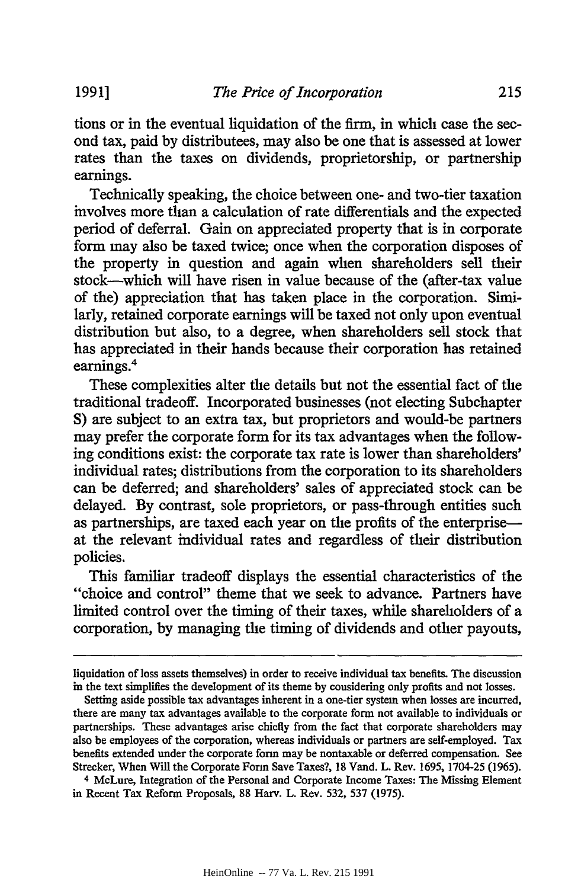215

tions or in the eventual liquidation of the firm, in which case the second tax, paid by distributees, may also be one that is assessed at lower rates than the taxes on dividends, proprietorship, or partnership earnings.

Technically speaking, the choice between one- and two-tier taxation involves more than a calculation of rate differentials and the expected period of deferral. Gain on appreciated property that is in corporate form may also be taxed twice; once when the corporation disposes of the property in question and again when shareholders sell their stock-which will have risen in value because of the (after-tax value of the) appreciation that has taken place in the corporation. Similarly, retained corporate earnings will be taxed not only upon eventual distribution but also, to a degree, when shareholders sell stock that has appreciated in their hands because their corporation has retained earnings.<sup>4</sup>

These complexities alter the details but not the essential fact of the traditional tradeoff. Incorporated businesses (not electing Subehapter **S)** are subject to an extra tax, but proprietors and would-be partners may prefer the corporate form for its tax advantages when the following conditions exist: the corporate tax rate is lower than shareholders' individual rates; distributions from the corporation to its shareholders can be deferred; and shareholders' sales of appreciated stock can be delayed. By contrast, sole proprietors, or pass-through entities such as partnerships, are taxed each year on the profits of the enterpriseat the relevant individual rates and regardless of their distribution policies.

This familiar tradeoff displays the essential characteristics of the "choice and control" theme that we seek to advance. Partners have limited control over the timing of their taxes, while shareholders of a corporation, by managing the timing of dividends and other payouts,

liquidation of loss assets themselves) in order to receive individual tax benefits. The discussion in the text simplifies the development of its theme by considering only profits and not losses.

Setting aside possible tax advantages inherent in a one-tier system when losses are incurred, there are many tax advantages available to the corporate form not available to individuals or partnerships. These advantages arise chiefly from the fact that corporate shareholders may also be employees of the corporation, whereas individuals or partners are self-employed. Tax benefits extended under the corporate form may be nontaxable or deferred compensation. See Strecker, When Will the Corporate Form Save Taxes?, 18 Vand. L. Rev. 1695, 1704-25 (1965).

<sup>4</sup> McLure, Integration of the Personal and Corporate Income Taxes: The Missing Element in Recent Tax Reform Proposals, 88 Harv. L. Rev. 532, 537 (1975).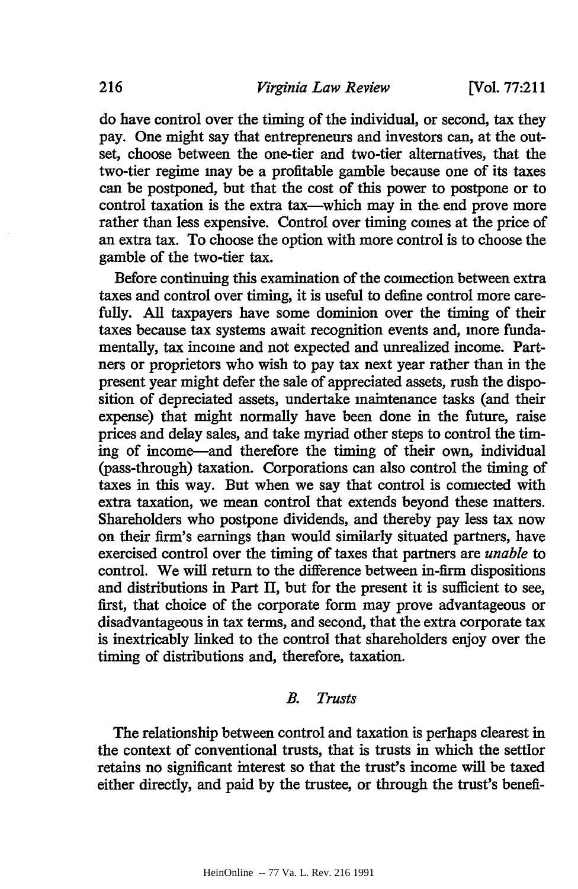do have control over the timing of the individual, or second, tax they pay. One might say that entrepreneurs and investors can, at the outset, choose between the one-tier and two-tier alternatives, that the two-tier regime may be a profitable gamble because one of its taxes can be postponed, but that the cost of this power to postpone or to control taxation is the extra tax—which may in the end prove more rather than less expensive. Control over timing comes at the price of an extra tax. To choose the option with more control is to choose the gamble of the two-tier tax.

Before continuing this examination of the connection between extra taxes and control over timing, it is useful to define control more carefully. All taxpayers have some dominion over the timing of their taxes because tax systems await recognition events and, more fundamentally, tax income and not expected and unrealized income. Partners or proprietors who wish to pay tax next year rather than in the present year might defer the sale of appreciated assets, rush the disposition of depreciated assets, undertake maintenance tasks (and their expense) that might normally have been done in the future, raise prices and delay sales, and take myriad other steps to control the timing of income-and therefore the timing of their own, individual (pass-through) taxation. Corporations can also control the timing of taxes in this way. But when we say that control is connected with extra taxation, we mean control that extends beyond these matters. Shareholders who postpone dividends, and thereby pay less tax now on their firm's earnings than would similarly situated partners, have exercised control over the timing of taxes that partners are *unable* to control. We will return to the difference between in-firm dispositions and distributions in Part II, but for the present it is sufficient to see, first, that choice of the corporate form may prove advantageous or disadvantageous in tax terms, and second, that the extra corporate tax is inextricably linked to the control that shareholders enjoy over the timing of distributions and, therefore, taxation.

#### *B. Trusts*

The relationship between control and taxation is perhaps clearest in the context of conventional trusts, that is trusts in which the settlor retains no significant interest so that the trust's income will be taxed either directly, and paid **by** the trustee, or through the trust's benefi-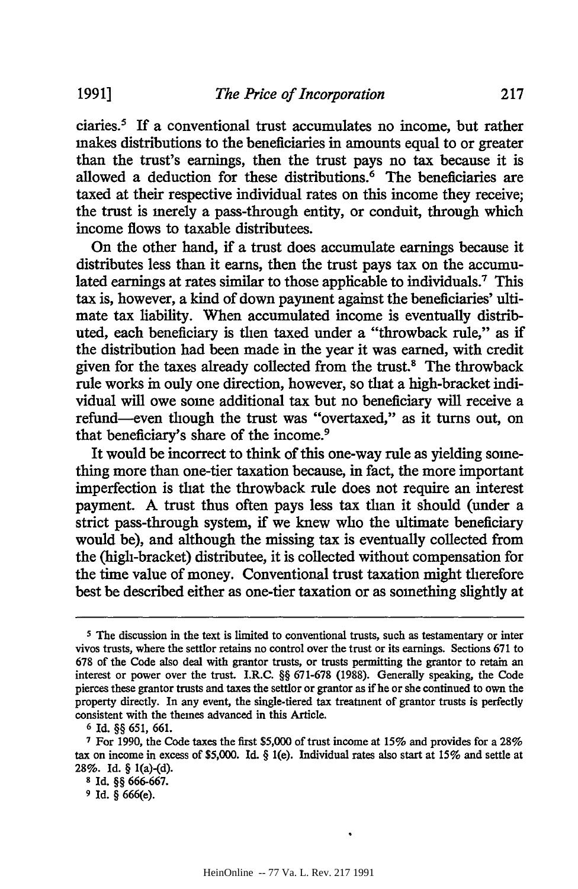ciaries.5 **If** a conventional trust accumulates no income, but rather makes distributions to the beneficiaries in amounts equal to or greater than the trust's earnings, then the trust pays no tax because it is allowed a deduction for these distributions.<sup>6</sup> The beneficiaries are taxed at their respective individual rates on this income they receive; the trust is merely a pass-through entity, or conduit, through which income flows to taxable distributees.

On the other hand, if a trust does accumulate earnings because it distributes less than it earns, then the trust pays tax on the accumulated earnings at rates similar to those applicable to individuals.<sup>7</sup> This tax is, however, a kind of down payment against the beneficiaries' ultimate tax liability. When accumulated income is eventually distributed, each beneficiary is then taxed under a "throwback rule," as if the distribution had been made in the year it was earned, with credit given for the taxes already collected from the trust.<sup>8</sup> The throwback rule works in only one direction, however, so that a high-bracket individual will owe some additional tax but no beneficiary will receive a refund-even though the trust was "overtaxed," as it turns out, on that beneficiary's share of the income.<sup>9</sup>

It would be incorrect to think of this one-way rule as yielding something more than one-tier taxation because, in fact, the more important imperfection is that the throwback rule does not require an interest payment. A trust thus often pays less tax than it should (under a strict pass-through system, if we knew who the ultimate beneficiary would be), and although the missing tax is eventually collected from the (high-bracket) distributee, it is collected without compensation for the time value of money. Conventional trust taxation might therefore best be described either as one-tier taxation or as something slightly at

**<sup>5</sup>** The discussion in the text is limited to conventional trusts, such as testamentary or inter vivos trusts, where the settlor retains no control over the trust or its earnings. Sections 671 to 678 of the Code also deal with grantor trusts, or trusts permitting the grantor to retain an interest or power over the trust. I.R.C. §§ 671-678 (1988). Generally speaking, the Code pierces these grantor trusts and taxes the settlor or grantor as if he or she continued to own the property directly. In any event, the single-tiered tax treatment of grantor trusts is perfectly consistent with the themes advanced in this Article.

**<sup>6</sup>** Id. §§ 651, 661.

**<sup>7</sup>** For **1990,** the Code taxes the first \$5,000 of trust income at 15% and provides for a 28% tax on income in excess of \$5,000. Id. § l(e). Individual rates also start at 15% and settle at **28%.** Id. § 1(a)-(d).

**<sup>8</sup>** Id. §§ 666-667.

**<sup>9</sup>** Id. § 666(e).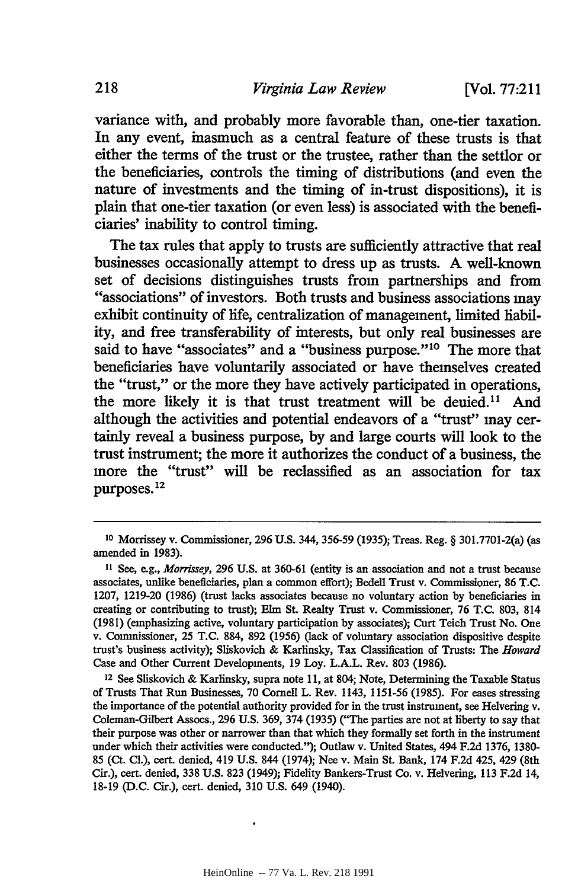variance with, and probably more favorable than, one-tier taxation. In any event, inasmuch as a central feature of these trusts is that either the terms of the trust or the trustee, rather than the settlor or the beneficiaries, controls the timing of distributions (and even the nature of investments and the timing of in-trust dispositions), it is plain that one-tier taxation (or even less) is associated with the beneficiaries' inability to control timing.

The tax rules that apply to trusts are sufficiently attractive that real businesses occasionally attempt to dress up as trusts. **A** well-known set of decisions distinguishes trusts from partnerships and from "associations" of investors. Both trusts and business associations may exhibit continuity of life, centralization of management, limited liability, and free transferability of interests, but only real businesses are said to have "associates" and a "business purpose."<sup>10</sup> The more that beneficiaries have voluntarily associated or have themselves created the "trust," or the more they have actively participated in operations, the more likely it is that trust treatment will be denied." And although the activities and potential endeavors of a "trust" may certainly reveal a business purpose, **by** and large courts **will** look to the trust instrument; the more it authorizes the conduct of a business, the more the "trust" will be reclassified as an association for tax purposes. **12**

12 See Sliskovich & Karlinsky, supra note 11, at 804; Note, Determining the Taxable Status of Trusts That Run Businesses, 70 Cornell L. Rev. 1143, 1151-56 (1985). For cases stressing the importance of the potential authority provided for in the trust instrument, see Helvering v. Coleman-Gilbert Assocs., 296 U.S. 369, 374 (1935) ("The parties are not at liberty to say that their purpose was other or narrower than that which they formally set forth in the instrument under which their activities were conducted."); Outlaw v. United States, 494 F.2d 1376, 1380- 85 (Ct. Cl.), cert. denied, 419 U.S. 844 (1974); Nee v. Main St. Bank, 174 F.2d 425, 429 (8th Cir.), cert. denied, 338 U.S. 823 (1949); Fidelity Bankers-Trust Co. v. Helvering, 113 F.2d 14, 18-19 (D.C. Cir.), cert. denied, 310 U.S. 649 (1940).

**<sup>10</sup>**Morrissey v. Commissioner, 296 U.S. 344, 356-59 (1935); Treas. Reg. § 301.7701-2(a) (as amended in 1983).

**<sup>11</sup>** See, e.g., *Morrissey,* **296 U.S.** at 360-61 (entity is an association and not a trust because associates, unlike beneficiaries, plan a common effort); Bedell Trust v. Commissioner, 86 T.C. 1207, 1219-20 (1986) (trust lacks associates because no voluntary action **by** beneficiaries in creating or contributing to trust); Elm St. Realty Trust v. Commissioner, 76 T.C. 803, 814 (1981) (emphasizing active, voluntary participation **by** associates); Curt Teich Trust No. One v. Commissioner, 25 T.C. 884, 892 (1956) (lack of voluntary association dispositive despite trust's business activity); Sliskovich & Karlinsky, Tax Classification of Trusts: The *Howard* Case and Other Current Developments, 19 Loy. L.A.L. Rev. 803 (1986).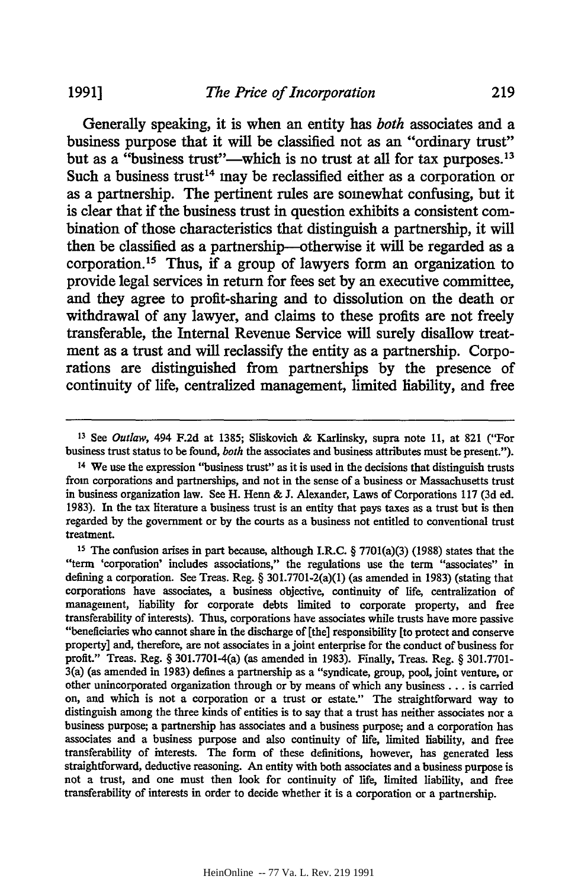Generally speaking, it is when an entity has *both* associates and a business purpose that it will be classified not as an "ordinary trust" but as a "business trust"—which is no trust at all for tax purposes.<sup>13</sup> Such a business trust<sup>14</sup> may be reclassified either as a corporation or as a partnership. The pertinent rules are somewhat confusing, but it is clear that if the business trust in question exhibits a consistent combination of those characteristics that distinguish a partnership, it will then be classified as a partnership--otherwise it will be regarded as a corporation. 15 Thus, **if** a group of lawyers form an organization to provide legal services in return for fees set **by** an executive committee, and they agree to profit-sharing and to dissolution on the death or withdrawal of any lawyer, and claims to these profits are not freely transferable, the Internal Revenue Service will surely disallow treatment as a trust and will reclassify the entity as a partnership. Corporations are distinguished from partnerships **by** the presence of continuity of life, centralized management, limited liability, and free

**<sup>13</sup>**See *Outlaw,* 494 F.2d at 1385; Sliskovich & Karlinsky, supra note 11, at 821 ("For business trust status to be found, *both* the associates and business attributes must be present.").

<sup>14</sup> We use the expression "business trust" as it is used in the decisions that distinguish trusts from corporations and partnerships, and not in the sense of a business or Massachusetts trust in business organization law. See H. Henn & J. Alexander, Laws of Corporations 117 (3d ed. 1983). In the tax literature a business trust is an entity that pays taxes as a trust but is then regarded by the government or by the courts as a business not entitled to conventional trust treatment.

**<sup>15</sup>** The confusion arises in part because, although I.R.C. § 7701(a)(3) (1988) states that the "term 'corporation' includes associations," the regulations use the term "associates" in defining a corporation. See Treas. Reg. § 301.7701-2(a)(1) (as amended in 1983) (stating that corporations have associates, a business objective, continuity of life, centralization of management, liability for corporate debts limited to corporate property, and free transferability of interests). Thus, corporations have associates while trusts have more passive "beneficiaries who cannot share in the discharge of the] responsibility [to protect and conserve property] and, therefore, are not associates in a joint enterprise for the conduct of business for profit." Treas. Reg. § 301.7701-4(a) (as amended in 1983). Finally, Treas. Reg. § 301.7701- 3(a) (as amended in 1983) defines a partnership as a "syndicate, group, pool, joint venture, or other unincorporated organization through or by means of which any business **...** is carried on, and which is not a corporation or a trust or estate." The straightforward way to distinguish among the three kinds of entities is to say that a trust has neither associates nor a business purpose; a partnership has associates and a business purpose; and a corporation has associates and a business purpose and also continuity of life, limited liability, and free transferability of interests. The form of these definitions, however, has generated less straightforward, deductive reasoning. An entity with both associates and a business purpose is not a trust, and one must then look for continuity of life, limited liability, and free transferability of interests in order to decide whether it is a corporation or a partnership.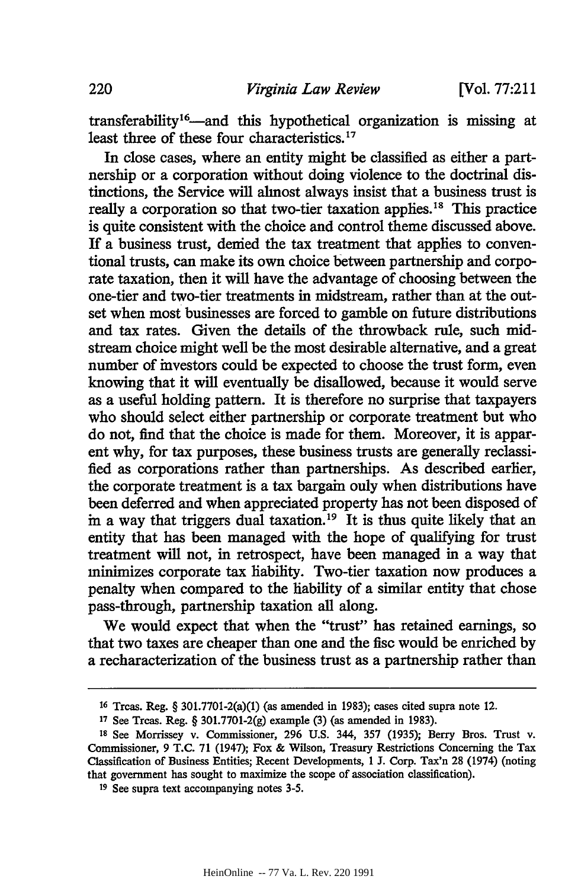transferability<sup>16</sup>—and this hypothetical organization is missing at least three of these four characteristics.<sup>17</sup>

In close cases, where an entity might be classified as either a partnership or a corporation without doing violence to the doctrinal distinctions, the Service will almost always insist that a business trust is really a corporation so that two-tier taxation applies.<sup>18</sup> This practice is quite consistent with the choice and control theme discussed above. If a business trust, denied the tax treatment that applies to conventional trusts, can make its own choice between partnership and corporate taxation, then it will have the advantage of choosing between the one-tier and two-tier treatments in midstream, rather than at the outset when most businesses are forced to gamble on future distributions and tax rates. Given the details of the throwback rule, such midstream choice might well be the most desirable alternative, and a great number of investors could be expected to choose the trust form, even knowing that it will eventually be disallowed, because it would serve as a useful holding pattern. It is therefore no surprise that taxpayers who should select either partnership or corporate treatment but who do not, find that the choice is made for them. Moreover, it is apparent why, for tax purposes, these business trusts are generally reclassified as corporations rather than partnerships. As described earlier, the corporate treatment is a tax bargain only when distributions have been deferred and when appreciated property has not been disposed of in a way that triggers dual taxation.<sup>19</sup> It is thus quite likely that an entity that has been managed with the hope of qualifying for trust treatment will not, in retrospect, have been managed in a way that minimizes corporate tax liability. Two-tier taxation now produces a penalty when compared to the liability of a similar entity that chose pass-through, partnership taxation all along.

We would expect that when the "trust" has retained earnings, so that two taxes are cheaper than one and the fisc would be enriched by a recharacterization of the business trust as a partnership rather than

**<sup>16</sup>** Treas. Reg. § 301.7701-2(a)(1) (as amended in 1983); cases cited supra note 12.

**<sup>17</sup>**See Treas. Reg. § 301.7701-2(g) example (3) (as amended in 1983).

**<sup>18</sup>** See Morrissey v. Commissioner, 296 U.S. 344, 357 (1935); Berry Bros. Trust v. Commissioner, 9 T.C. 71 (1947); Fox & Wilson, Treasury Restrictions Concerning the Tax Classification of Business Entities; Recent Developments, 1 J. Corp. Tax'n 28 (1974) (noting that government has sought to maximize the scope of association classification).

**<sup>19</sup>** See supra text accompanying notes 3-5.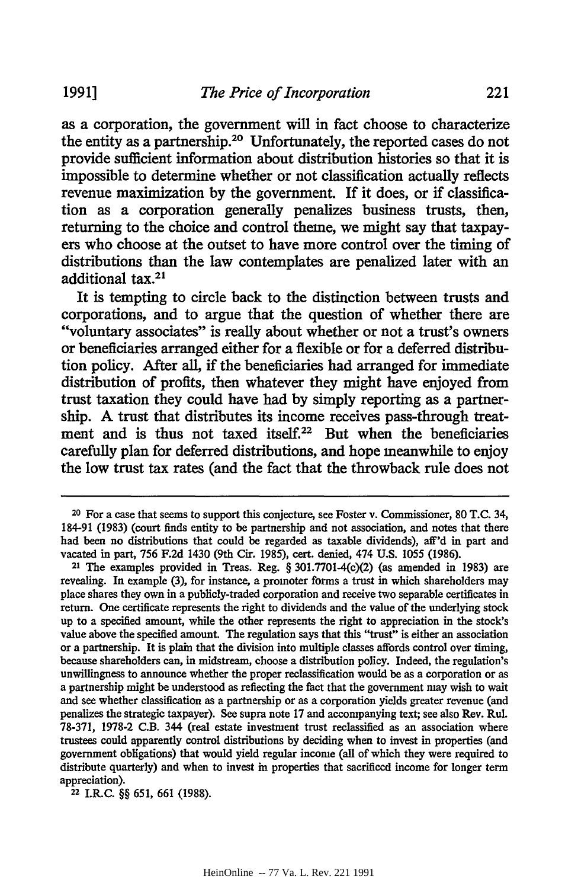as a corporation, the government will in fact choose to characterize the entity as a partnership.20 Unfortunately, the reported cases do not provide sufficient information about distribution histories so that it is impossible to determine whether or not classification actually reflects revenue maximization **by** the government. **If** it does, or **if** classification as a corporation generally penalizes business trusts, then, returning to the choice and control theme, we might say that taxpayers who choose at the outset to have more control over the timing of distributions than the law contemplates are penalized later with an additional **tax.21**

It is tempting to circle back to the distinction between trusts and corporations, and to argue that the question of whether there are "voluntary associates" is really about whether or not a trust's owners or beneficiaries arranged either for a flexible or for a deferred distribution policy. After all, **if** the beneficiaries had arranged for immediate distribution of profits, then whatever they might have enjoyed from trust taxation they could have had **by** simply reporting as a partnership. **A** trust that distributes its income receives pass-through treatment and is thus not taxed itself.<sup>22</sup> But when the beneficiaries carefully plan for deferred distributions, and hope meanwhile to enjoy the low trust tax rates (and the fact that the throwback rule does not

<sup>&</sup>lt;sup>20</sup> For a case that seems to support this conjecture, see Foster v. Commissioner, 80 T.C. 34, 184-91 (1983) (court finds entity to be partnership and not association, and notes that there had been no distributions that could be regarded as taxable dividends), aff'd in part and vacated in part, 756 F.2d 1430 (9th Cir. 1985), cert. denied, 474 U.S. 1055 (1986).

**<sup>21</sup>** The examples provided in Treas. Reg. § 301.7701-4(c)(2) (as amended in 1983) are revealing. In example (3), for instance, a promoter forms a trust in which shareholders may place shares they own in a publicly-traded corporation and receive two separable certificates in return. One certificate represents the right to dividends and the value of the underlying stock up to a specified amount, while the other represents the right to appreciation in the stock's value above the specified amount. The regulation says that this "trust" is either an association or a partnership. It is plain that the division into multiple classes affords control over timing, because shareholders can, in midstream, choose a distribution policy. Indeed, the regulation's unwillingness to announce whether the proper reclassification would be as a corporation or as a partnership might be understood as reflecting the fact that the government may wish to wait and see whether classification as a partnership or as a corporation yields greater revenue (and penalizes the strategic taxpayer). See supra note 17 and accompanying text; see also Rev. Rul. 78-371, 1978-2 C.B. 344 (real estate investment trust reclassified as an association where trustees could apparently control distributions by deciding when to invest in properties (and government obligations) that would yield regular income (all of which they were required to distribute quarterly) and when to invest in properties that sacrificed income for longer term appreciation).

**<sup>22</sup>**I.R.C. §§ 651, 661 (1988).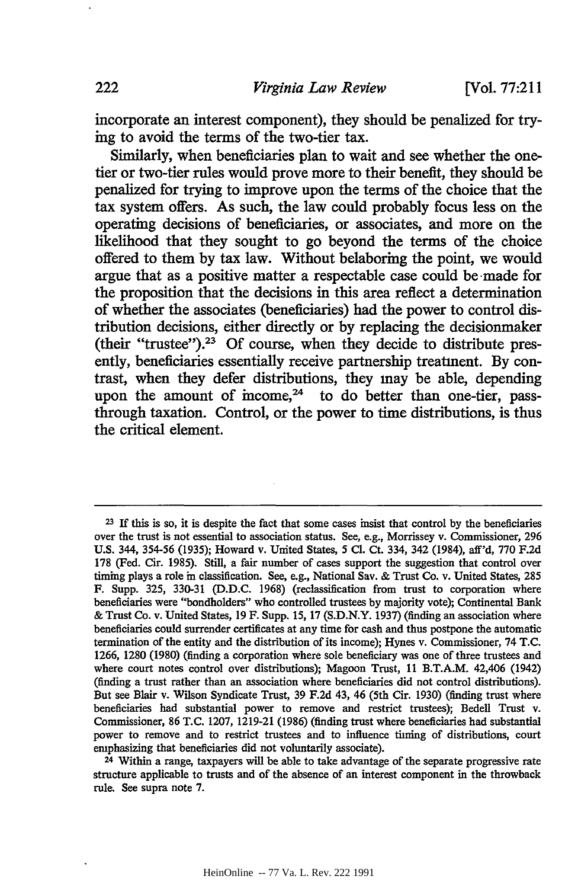incorporate an interest component), they should be penalized for trying to avoid the terms of the two-tier tax.

Similarly, when beneficiaries plan to wait and see whether the onetier or two-tier rules would prove more to their benefit, they should be penalized for trying to improve upon the terms of the choice that the tax system offers. As such, the law could probably focus less on the operating decisions of beneficiaries, or associates, and more on the likelihood that they sought to go beyond the terms of the choice offered to them **by** tax law. Without belaboring the point, we would argue that as a positive matter a respectable case could be-made for the proposition that the decisions in this area reflect a determination of whether the associates (beneficiaries) had the power to control distribution decisions, either directly or **by** replacing the decisionmaker (their "trustee"). <sup>23</sup>**Of** course, when they decide to distribute presently, beneficiaries essentially receive partnership treatment. **By** contrast, when they defer distributions, they may be able, depending upon the amount of income, $24$  to do better than one-tier, passthrough taxation. Control, or the power to time distributions, is thus the critical element.

24 Within a range, taxpayers will be able to take advantage of the separate progressive rate structure applicable to trusts and of the absence of an interest component in the throwback rule. See supra note 7.

**<sup>23</sup>**If this is so, it is despite the fact that some cases insist that control **by** the beneficiaries over the trust is not essential to association status. See, e.g., Morrissey v. Commissioner, 296 U.S. 344, 354-56 (1935); Howard v. United States, 5 **Cl.** Ct. 334, 342 (1984), aff'd, 770 F.2d 178 (Fed. Cir. 1985). Still, a fair number of cases support the suggestion that control over timing plays a role in classification. See, e.g., National Say. & Trust Co. v. United States, 285 F. Supp. 325, 330-31 (D.D.C. 1968) (reclassification from trust to corporation where beneficiaries were "bondholders" who controlled trustees by majority vote); Continental Bank & Trust Co. v. United States, 19 F. Supp. 15, 17 (S.D.N.Y. 1937) (finding an association where beneficiaries could surrender certificates at any time for cash and thus postpone the automatic termination of the entity and the distribution of its income); Hynes v. Commissioner, 74 T.C. 1266, 1280 (1980) (finding a corporation where sole beneficiary was one of three trustees and where court notes control over distributions); Magoon Trust, 11 B.T.A.M. 42,406 (1942) (finding a trust rather than an association where beneficiaries did not control distributions). But see Blair v. Wilson Syndicate Trust, 39 F.2d 43, 46 (5th Cir. 1930) (finding trust where beneficiaries had substantial power to remove and restrict trustees); Bedell Trust v. Commissioner, 86 T.C. 1207, 1219-21 (1986) (finding trust where beneficiaries had substantial power to remove and to restrict trustees and to influence timing of distributions, court emphasizing that beneficiaries did not voluntarily associate).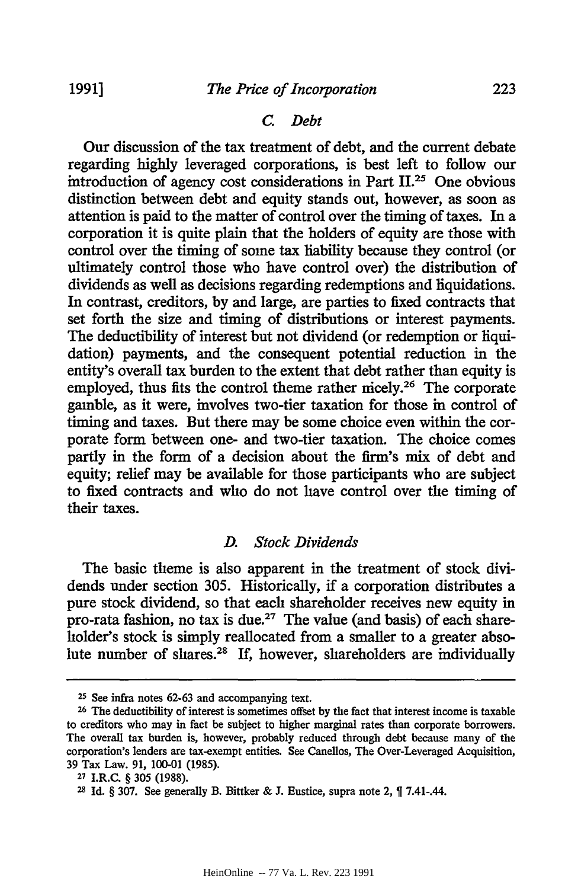#### *C. Debt*

Our discussion of the tax treatment of debt, and the current debate regarding highly leveraged corporations, is best left to follow our introduction of agency cost considerations in Part **11.25** One obvious distinction between debt and equity stands out, however, as soon as attention is paid to the matter of control over the timing of taxes. In a corporation it is quite plain that the holders of equity are those with control over the timing of some tax liability because they control (or ultimately control those who have control over) the distribution of dividends as well as decisions regarding redemptions and liquidations. In contrast, creditors, by and large, are parties to fixed contracts that set forth the size and timing of distributions or interest payments. The deductibility of interest but not dividend (or redemption or liquidation) payments, and the consequent potential reduction in the entity's overall tax burden to the extent that debt rather than equity is employed, thus fits the control theme rather micely.<sup>26</sup> The corporate gamble, as it were, involves two-tier taxation for those in control of timing and taxes. But there may be some choice even within the corporate form between one- and two-tier taxation. The choice comes partly in the form of a decision about the firm's mix of debt and equity; relief may be available for those participants who are subject to fixed contracts and who do not have control over the timing of their taxes.

#### *D. Stock Dividends*

The basic theme is also apparent in the treatment of stock dividends under section 305. Historically, if a corporation distributes a pure stock dividend, so that each shareholder receives new equity in pro-rata fashion, no tax is due.<sup>27</sup> The value (and basis) of each shareholder's stock is simply reallocated from a smaller to a greater absolute number of shares.28 If, however, shareholders are individually

**<sup>25</sup>** See infra notes 62-63 and accompanying text.

**<sup>26</sup>**The deductibility of interest is sometimes offset by the fact that interest income is taxable to creditors who may in fact be subject to higher marginal rates than corporate borrowers. The overall tax burden is, however, probably reduced through debt because many of the corporation's lenders are tax-exempt entities. See Canellos, The Over-Leveraged Acquisition, 39 Tax Law. 91, 100-01 (1985).

**<sup>27</sup>**I.R.C. § 305 (1988).

**<sup>28</sup>** Id. § 307. See generally B. Bittker & J. Eustice, supra note 2, 7.41-.44.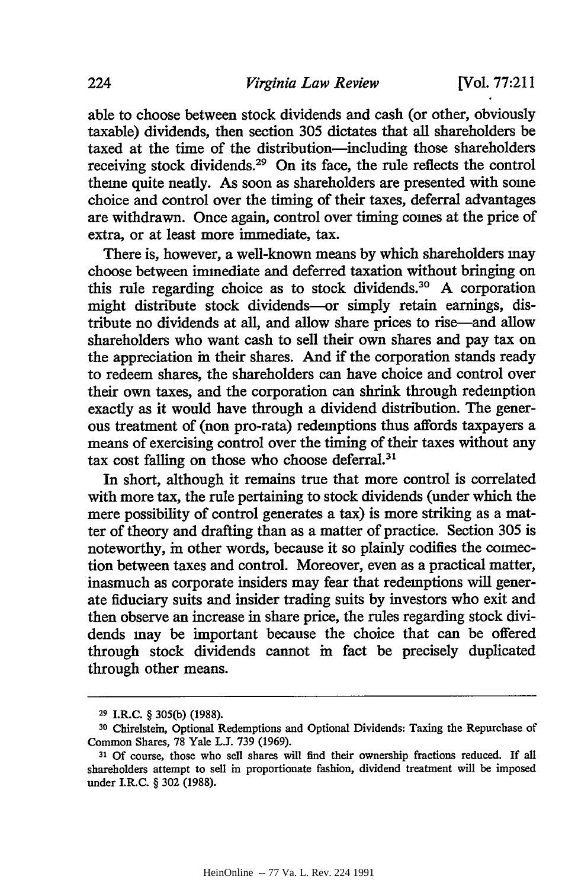able to choose between stock dividends and cash (or other, obviously taxable) dividends, then section 305 dictates that all shareholders be taxed at the time of the distribution-including those shareholders receiving stock dividends.29 On its face, the rule reflects the control theme quite neatly. As soon as shareholders are presented with some choice and control over the timing of their taxes, deferral advantages are withdrawn. Once again, control over timing comes at the price of extra, or at least more immediate, tax.

There is, however, a well-known means by which shareholders may choose between immediate and deferred taxation without bringing on this rule regarding choice as to stock dividends.<sup>30</sup> A corporation might distribute stock dividends-or simply retain earnings, distribute no dividends at all, and allow share prices to rise-and allow shareholders who want cash to sell their own shares and pay tax on the appreciation in their shares. And if the corporation stands ready to redeem shares, the shareholders can have choice and control over their own taxes, and the corporation can shrink through redemption exactly as it would have through a dividend distribution. The generous treatment of (non pro-rata) redemptions thus affords taxpayers a means of exercising control over the timing of their taxes without any tax cost falling on those who choose deferral.31

In short, although it remains true that more control is correlated with more tax, the rule pertaining to stock dividends (under which the mere possibility of control generates a tax) is more striking as a matter of theory and drafting than as a matter of practice. Section 305 is noteworthy, in other words, because it so plainly codifies the connection between taxes and control. Moreover, even as a practical matter, inasmuch as corporate insiders may fear that redemptions will generate fiduciary suits and insider trading suits by investors who exit and then observe an increase in share price, the rules regarding stock dividends may be important because the choice that can be offered through stock dividends cannot in fact be precisely duplicated through other means.

**<sup>29</sup>**I.R.C. § 305(b) (1988).

**<sup>30</sup>**Chirelstein, Optional Redemptions and Optional Dividends: Taxing the Repurchase of Common Shares, 78 Yale **L.J.** 739 (1969).

**<sup>31</sup>**Of course, those who sell shares will find their ownership fractions reduced. If all shareholders attempt to sell in proportionate fashion, dividend treatment will be imposed under I.R.C. § 302 (1988).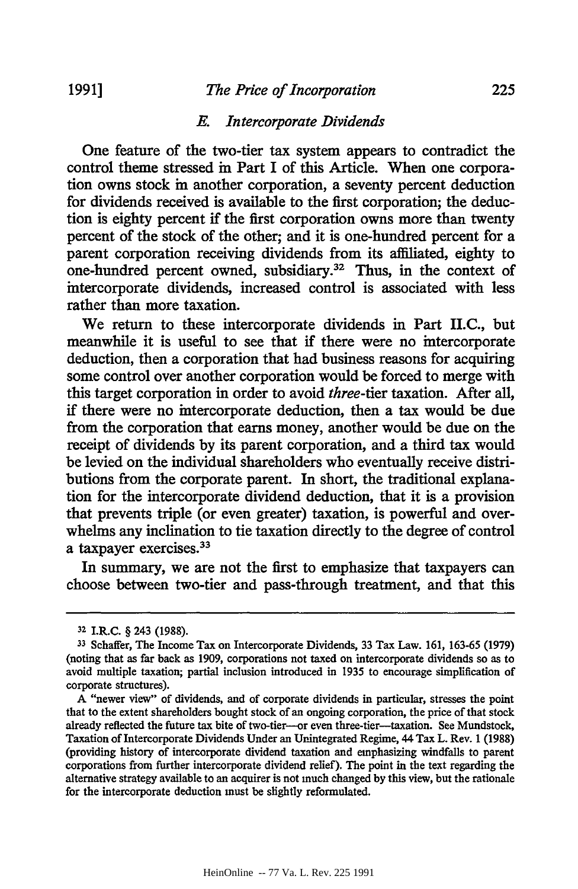#### *The Price of Incorporation*

#### *E. Intercorporate Dividends*

One feature of the two-tier tax system appears to contradict the control theme stressed in Part I of this Article. When one corporation owns stock in another corporation, a seventy percent deduction for dividends received is available to the first corporation; the deduction is eighty percent if the first corporation owns more than twenty percent of the stock of the other; and it is one-hundred percent for a parent corporation receiving dividends from its affiliated, eighty to one-hundred percent owned, subsidiary.<sup>32</sup> Thus, in the context of intercorporate dividends, increased control is associated with less rather than more taxation.

We return to these intercorporate dividends in Part II.C., but meanwhile it is useful to see that if there were no intercorporate deduction, then a corporation that had business reasons for acquiring some control over another corporation would be forced to merge with this target corporation in order to avoid *three-tier* taxation. After all, if there were no intercorporate deduction, then a tax would be due from the corporation that earns money, another would be due on the receipt of dividends by its parent corporation, and a third tax would be levied on the individual shareholders who eventually receive distributions from the corporate parent. In short, the traditional explanation for the intercorporate dividend deduction, that it is a provision that prevents triple (or even greater) taxation, is powerful and overwhelms any inclination to tie taxation directly to the degree of control a taxpayer exercises.33

In summary, we are not the first to emphasize that taxpayers can choose between two-tier and pass-through treatment, and that this

**<sup>32</sup>**I.RtC. § 243 (1988).

**<sup>33</sup>**Schafer, The Income Tax on Intercorporate Dividends, 33 Tax Law. 161, 163-65 (1979) (noting that as far back as 1909, corporations not taxed on intercorporate dividends so as to avoid multiple taxation; partial inclusion introduced in 1935 to encourage simplification of corporate structures).

A "newer view" of dividends, and of corporate dividends in particular, stresses the point that to the extent shareholders bought stock of an ongoing corporation, the price of that stock already reflected the future tax bite of two-tier--or even three-tier-taxation. See Mundstock, Taxation of Intercorporate Dividends Under an Unintegrated Regime, 44 Tax L. Rev. 1 (1988) (providing history of intercorporate dividend taxation and emphasizing windfalls to parent corporations from further intercorporate dividend relief). The point in the text regarding the alternative strategy available to an acquirer is not much changed by this view, but the rationale for the intercorporate deduction must be slightly reformulated.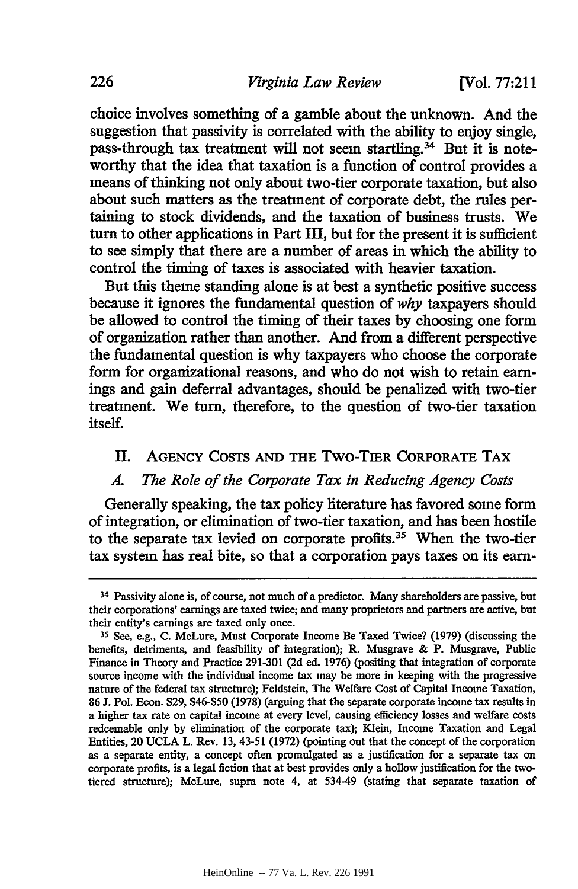[Vol. **77:211**

choice involves something of a gamble about the unknown. And the suggestion that passivity is correlated with the ability to enjoy single, pass-through tax treatment will not seem startling.<sup>34</sup> But it is noteworthy that the idea that taxation is a function of control provides a means of thinking not only about two-tier corporate taxation, but also about such matters as the treatment of corporate debt, the rules pertaining to stock dividends, and the taxation of business trusts. We turn to other applications in Part III, but for the present it is sufficient to see simply that there are a number of areas in which the ability to control the timing of taxes is associated with heavier taxation.

But this theme standing alone is at best a synthetic positive success because it ignores the fundamental question of *why* taxpayers should be allowed to control the timing of their taxes by choosing one form of organization rather than another. And from a different perspective the fundamental question is why taxpayers who choose the corporate form for organizational reasons, and who do not wish to retain earnings and gain deferral advantages, should be penalized with two-tier treatment. We turn, therefore, to the question of two-tier taxation itself.

## II. **AGENCY COSTS AND THE** Two-TIER **CORPORATE** TAX

#### *A. The Role of the Corporate Tax in Reducing Agency Costs*

Generally speaking, the tax policy literature has favored some form of integration, or elimination of two-tier taxation, and has been hostile to the separate tax levied on corporate profits.35 When the two-tier tax system has real bite, so that a corporation pays taxes on its earn-

<sup>&</sup>lt;sup>34</sup> Passivity alone is, of course, not much of a predictor. Many shareholders are passive, but their corporations' earnings are taxed twice; and many proprietors and partners are active, but their entity's earnings are taxed only once.

**<sup>35</sup>** See, e.g., C. McLure, Must Corporate Income Be Taxed Twice? (1979) (discussing the benefits, detriments, and feasibility of integration); R. Musgrave & P. Musgrave, Public Finance in Theory and Practice 291-301 (2d ed. 1976) (positing that integration of corporate source income with the individual income tax may be more in keeping with the progressive nature of the federal tax structure); Feldstein, The Welfare Cost of Capital Income Taxation, 86 **J.** Pol. Econ. S29, \$46-\$50 (1978) (arguing that the separate corporate income tax results in a higher tax rate on capital income at every level, causing efficiency losses and welfare costs redeemable only by elimination of the corporate tax); Klein, Income Taxation and Legal Entities, 20 UCLA L. Rev. 13, 43-51 (1972) (pointing out that the concept of the corporation as a separate entity, a concept often promulgated as a justification for a separate tax on corporate profits, is a legal fiction that at best provides only a hollow justification for the twotiered structure); McLure, supra note 4, at 534-49 (stating that separate taxation of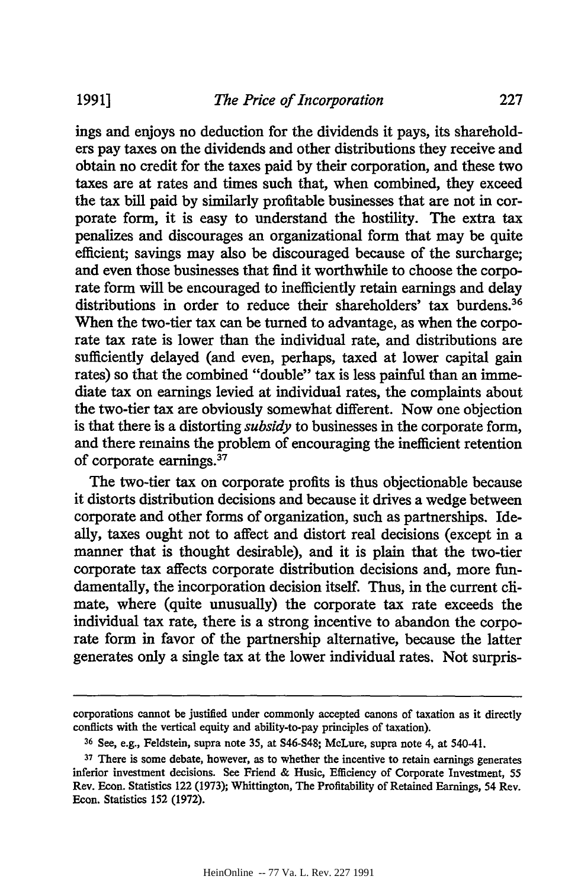ings and enjoys no deduction for the dividends it pays, its shareholders pay taxes on the dividends and other distributions they receive and obtain no credit for the taxes paid by their corporation, and these two taxes are at rates and times such that, when combined, they exceed the tax bill paid by similarly profitable businesses that are not in corporate form, it is easy to understand the hostility. The extra tax penalizes and discourages an organizational form that may be quite efficient; savings may also be discouraged because of the surcharge; and even those businesses that find it worthwhile to choose the corporate form will be encouraged to inefficiently retain earnings and delay distributions in order to reduce their shareholders' tax burdens.<sup>36</sup> When the two-tier tax can be turned to advantage, as when the corporate tax rate is lower than the individual rate, and distributions are sufficiently delayed (and even, perhaps, taxed at lower capital gain rates) so that the combined "double" tax is less painful than an immediate tax on earnings levied at individual rates, the complaints about the two-tier tax are obviously somewhat different. Now one objection is that there is a distorting *subsidy* to businesses in the corporate form, and there remains the problem of encouraging the inefficient retention of corporate earnings.37

The two-tier tax on corporate profits is thus objectionable because it distorts distribution decisions and because it drives a wedge between corporate and other forms of organization, such as partnerships. Ideally, taxes ought not to affect and distort real decisions (except in a manner that is thought desirable), and it is plain that the two-tier corporate tax affects corporate distribution decisions and, more fundamentally, the incorporation decision itself. Thus, in the current climate, where (quite unusually) the corporate tax rate exceeds the individual tax rate, there is a strong incentive to abandon the corporate form in favor of the partnership alternative, because the latter generates only a single tax at the lower individual rates. Not surpris-

corporations cannot be justified under commonly accepted canons of taxation as it directly conflicts with the vertical equity and ability-to-pay principles of taxation).

<sup>&</sup>lt;sup>36</sup> See, e.g., Feldstein, supra note 35, at S46-S48; McLure, supra note 4, at 540-41.

<sup>&</sup>lt;sup>37</sup> There is some debate, however, as to whether the incentive to retain earnings generates inferior investment decisions. See Friend & Husic, Efficiency of Corporate Investment, 55 Rev. Econ. Statistics 122 **(1973);** Whittington, The Profitability of Retained Earnings, 54 Rev. Econ. Statistics 152 (1972).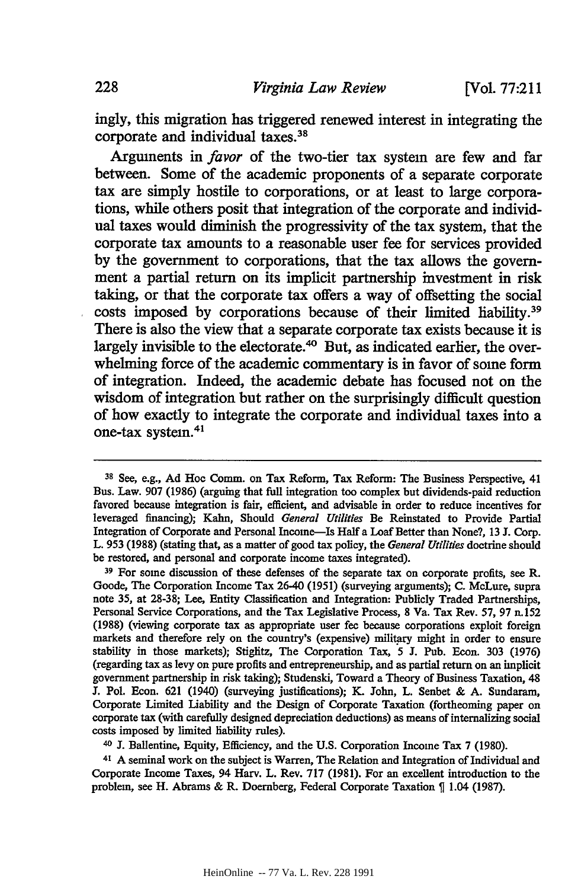ingly, this migration has triggered renewed interest in integrating the corporate and individual taxes.<sup>31</sup>

Arguments in *favor* of the two-tier tax system are few and far between. Some of the academic proponents of a separate corporate tax are simply hostile to corporations, or at least to large corporations, while others posit that integration of the corporate and individual taxes would diminish the progressivity of the tax system, that the corporate tax amounts to a reasonable user fee for services provided **by** the government to corporations, that the tax allows the government a partial return on its implicit partnership investment in risk taking, or that the corporate tax offers a way of offsetting the social costs imposed by corporations because of their limited liability.<sup>39</sup> There is also the view that a separate corporate tax exists because it is largely invisible to the electorate.<sup>40</sup> But, as indicated earlier, the overwhelming force of the academic commentary is in favor of some form of integration. Indeed, the academic debate has focused not on the wisdom of integration but rather on the surprisingly difficult question of how exactly to integrate the corporate and individual taxes into a one-tax system.41

40 J. Ballentine, Equity, Efficiency, and the U.S. Corporation Income Tax 7 (1980).

41 A seminal work on the subject is Warren, The Relation and Integration of Individual and Corporate Income Taxes, 94 Harv. L. Rev. 717 (1981). For an excellent introduction to the problem, see H. Abrams & R. Doernberg, Federal Corporate Taxation  $\S$  1.04 (1987).

**<sup>38</sup>**See, e.g., **Ad** Hoc Comm. on **Tax** Reform, Tax Reform: The Business Perspective, 41 Bus. Law. 907 (1986) (arguing that full integration too complex but dividends-paid reduction favored because integration is fair, efficient, and advisable in order to reduce incentives for leveraged financing); Kahn, Should *General Utilities* Be Reinstated to Provide Partial Integration of Corporate and Personal Income-Is Halfa Loaf Better than None?, 13 J. Corp. L. 953 (1988) (stating that, as a matter of good tax policy, the *General Utilities* doctrine should be restored, and personal and corporate income taxes integrated).

**<sup>39</sup>**For some discussion of these defenses of the separate tax on corporate profits, see R. Goode, The Corporation Income Tax 26-40 (1951) (surveying arguments); **C.** McLure, supra note 35, at 28-38; Lee, Entity Classification and Integration: Publicly Traded Partnerships, Personal Service Corporations, and the Tax Legislative Process, 8 Va. Tax Rev. 57, 97 n.152 (1988) (viewing corporate tax as appropriate user fee because corporations exploit foreign markets and therefore rely on the country's (expensive) military might in order to ensure stability in those markets); Stiglitz, The Corporation Tax, 5 J. Pub. Econ. 303 (1976) (regarding tax as levy on pure profits and entrepreneurship, and as partial return on an implicit government partnership in risk taking); Studenski, Toward a Theory of Business Taxation, 48 J. Pol. Econ. 621 (1940) (surveying justifications); K. John, L. Senbet & A. Sundaram, Corporate Limited Liability and the Design of Corporate Taxation (forthcoming paper on corporate tax (with carefully designed depreciation deductions) as means of internalizing social costs imposed by limited liability rules).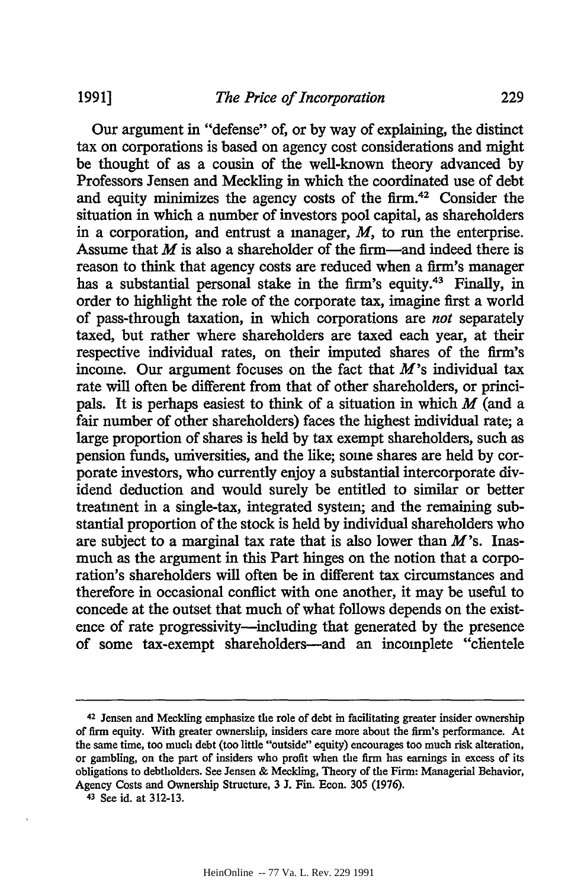Our argument in "defense" of, or by way of explaining, the distinct tax on corporations is based on agency cost considerations and might be thought of as a cousin of the well-known theory advanced by Professors Jensen and Meckling in which the coordinated use of debt and equity minimizes the agency costs of the firm.42 Consider the situation in which a number of investors pool capital, as shareholders in a corporation, and entrust a manager, *M,* to run the enterprise. Assume that *M* is also a shareholder of the firm-and indeed there is reason to think that agency costs are reduced when a firm's manager has a substantial personal stake in the firm's equity.<sup>43</sup> Finally, in order to highlight the role of the corporate tax, imagine first a world of pass-through taxation, in which corporations are *not* separately taxed, but rather where shareholders are taxed each year, at their respective individual rates, on their imputed shares of the firm's income. Our argument focuses on the fact that *M's* individual tax rate will often be different from that of other shareholders, or principals. It is perhaps easiest to think of a situation in which *M* (and a fair number of other shareholders) faces the highest individual rate; a large proportion of shares is held by tax exempt shareholders, such as pension funds, universities, and the like; some shares are held by corporate investors, who currently enjoy a substantial intercorporate dividend deduction and would surely be entitled to similar or better treatment in a single-tax, integrated system; and the remaining substantial proportion of the stock is held by individual shareholders who are subject to a marginal tax rate that is also lower than  $M$ 's. Inasmuch as the argument in this Part hinges on the notion that a corporation's shareholders will often be in different tax circumstances and therefore in occasional conflict with one another, it may be useful to concede at the outset that much of what follows depends on the existence of rate progressivity—including that generated by the presence of some tax-exempt shareholders-and an incomplete "clientele

**<sup>42</sup>**Jensen and Meckling emphasize the role of debt in facilitating greater insider ownership of firm equity. With greater ownership, insiders care more about the firm's performance. At the same time, too much debt (too little "outside" equity) encourages too much risk alteration, or gambling, on the part of insiders who profit when the firm has earnings in excess of its obligations to debtholders. See Jensen & Meckling, Theory of the Firm: Managerial Behavior, Agency Costs and Ownership Structure, 3 J. Fin. Econ. 305 (1976).

**<sup>43</sup>**See id. at 312-13.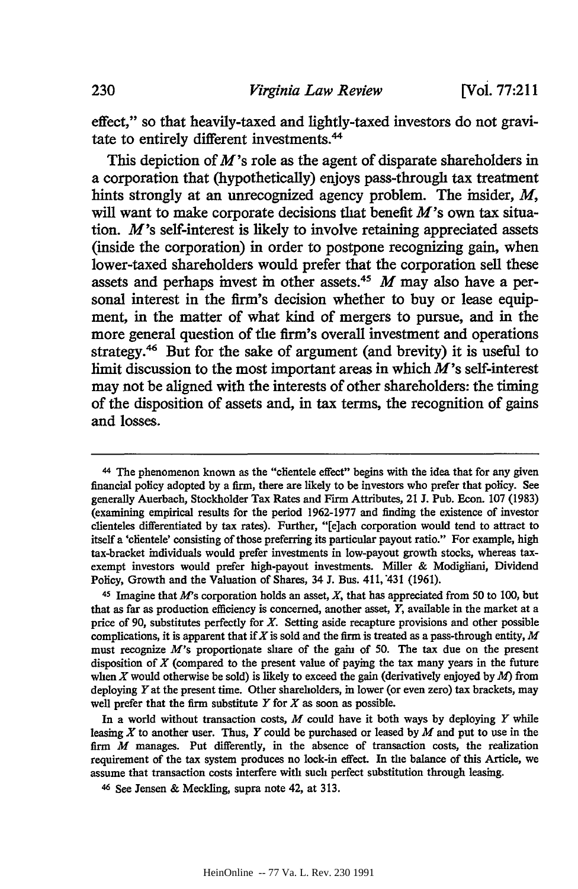effect," so that heavily-taxed and lightly-taxed investors do not gravitate to entirely different investments.44

This depiction of *M's* role as the agent of disparate shareholders in a corporation that (hypothetically) enjoys pass-through tax treatment hints strongly at an unrecognized agency problem. The insider, *M,* will want to make corporate decisions that benefit  $M$ 's own tax situation. M's self-interest is likely to involve retaining appreciated assets (inside the corporation) in order to postpone recognizing gain, when lower-taxed shareholders would prefer that the corporation sell these assets and perhaps invest in other assets.<sup>45</sup> M may also have a personal interest in the firm's decision whether to buy or lease equipment, in the matter of what kind of mergers to pursue, and in the more general question of the firm's overall investment and operations strategy.46 But for the sake of argument (and brevity) it is useful to limit discussion to the most important areas in which  $M$ 's self-interest may not be aligned with the interests of other shareholders: the timing of the disposition of assets and, in tax terms, the recognition of gains and losses.

<sup>44</sup>The phenomenon known as the "clientele effect" begins with the idea that for any given financial policy adopted by a firm, there are likely to be investors who prefer that policy. See generally Auerbach, Stockholder Tax Rates and Firm Attributes, 21 J. Pub. Econ. 107 (1983) (examining empirical results for the period 1962-1977 and finding the existence of investor clienteles differentiated by tax rates). Further, "[e]ach corporation would tend to attract to itself a 'clientele' consisting of those preferring its particular payout ratio." For example, high tax-bracket individuals would prefer investments in low-payout growth stocks, whereas taxexempt investors would prefer high-payout investments. Miller & Modigliani, Dividend Policy, Growth and the Valuation of Shares, 34 J. Bus. 411, 431 (1961).

<sup>&</sup>lt;sup>45</sup> Imagine that M's corporation holds an asset, X, that has appreciated from 50 to 100, but that as far as production efficiency is concerned, another asset, *Y,* available in the market at a price of 90, substitutes perfectly for *X.* Setting aside recapture provisions and other possible complications, it is apparent that *if*  $X$  is sold and the firm is treated as a pass-through entity,  $M$ must recognize *M's* proportionate share of the gain of 50. The tax due on the present disposition of  $X$  (compared to the present value of paying the tax many years in the future when X would otherwise be sold) is likely to exceed the gain (derivatively enjoyed by  $M$ ) from deploying Y at the present time. Other shareholders, in lower (or even zero) tax brackets, may well prefer that the firm substitute *Y* for *X* as soon as possible.

In a world without transaction costs, *M* could have it both ways by deploying *Y* while leasing *X* to another user. Thus, *Y* could be purchased or leased by *M* and put to use in the firm *M* manages. Put differently, in the absence of transaction costs, the realization requirement of the tax system produces no lock-in effect. In the balance of this Article, we assume that transaction costs interfere with such perfect substitution through leasing.

**<sup>46</sup>**See Jensen & Meckling, supra note 42, at 313.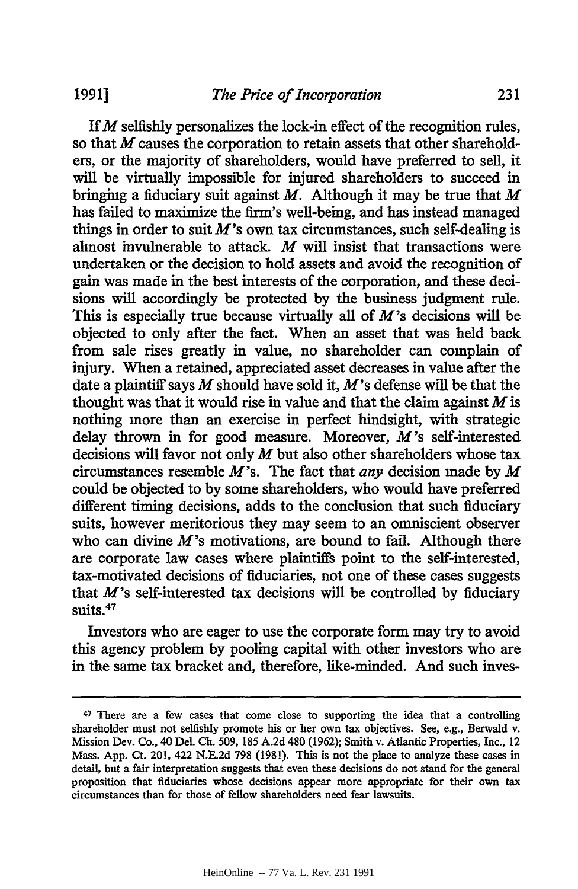If *M* selfishly personalizes the lock-in effect of the recognition rules, so that *M* causes the corporation to retain assets that other shareholders, or the majority of shareholders, would have preferred to sell, it will be virtually impossible for injured shareholders to succeed in bringing a fiduciary suit against *M.* Although it may be true that *M* has failed to maximize the firm's well-being, and has instead managed things in order to suit  $M$ 's own tax circumstances, such self-dealing is almost invulnerable to attack. *M* will insist that transactions were undertaken or the decision to hold assets and avoid the recognition of gain was made in the best interests of the corporation, and these decisions will accordingly be protected by the business judgment rule. This is especially true because virtually all of *M's* decisions will be objected to only after the fact. When an asset that was held back from sale rises greatly in value, no shareholder can complain of injury. When a retained, appreciated asset decreases in value after the date a plaintiff says *M* should have sold it, M's defense will be that the thought was that it would rise in value and that the claim against *M* is nothing more than an exercise in perfect hindsight, with strategic delay thrown in for good measure. Moreover,  $M$ 's self-interested decisions will favor not only *M* but also other shareholders whose tax circumstances resemble M's. The fact that *any* decision made by *M* could be objected to by some shareholders, who would have preferred different timing decisions, adds to the conclusion that such fiduciary suits, however meritorious they may seem to an omniscient observer who can divine  $M$ 's motivations, are bound to fail. Although there are corporate law cases where plaintiffs point to the self-interested, tax-motivated decisions of fiduciaries, not one of these cases suggests that  $M$ 's self-interested tax decisions will be controlled by fiduciary suits.<sup>47</sup>

Investors who are eager to use the corporate form may try to avoid this agency problem by pooling capital with other investors who are in the same tax bracket and, therefore, like-minded. And such inves-

<sup>47</sup> There are a few cases that come close to supporting the idea that a controlling shareholder must not selfishly promote his or her own tax objectives. See, e.g., Berwald v. Mission Dev. Co., 40 Del. Ch. 509, 185 A.2d 480 (1962); Smith v. Atlantic Properties, Inc., 12 Mass. App. Ct. 201, 422 N.E.2d 798 (1981). This is not the place to analyze these cases in detail, but a fair interpretation suggests that even these decisions do not stand for the general proposition that fiduciaries whose decisions appear more appropriate for their own tax circumstances than for those of fellow shareholders need fear lawsuits.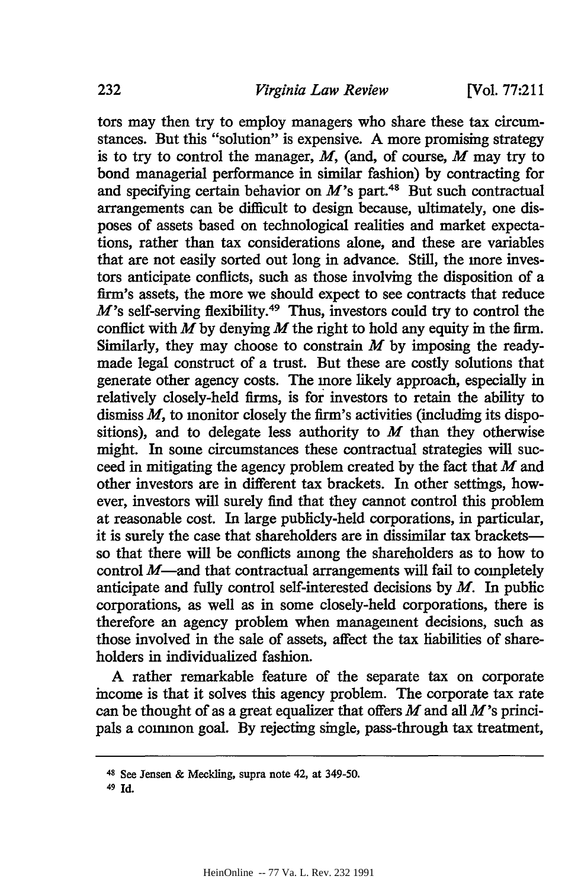**[Vol. 77:211**

tors may then try to employ managers who share these tax circumstances. But this "solution" is expensive. A more promising strategy is to try to control the manager, *M,* (and, of course, *M* may try to bond managerial performance in similar fashion) by contracting for and specifying certain behavior on  $M$ 's part.<sup>48</sup> But such contractual arrangements can be difficult to design because, ultimately, one disposes of assets based on technological realities and market expectations, rather than tax considerations alone, and these are variables that are not easily sorted out long in advance. Still, the more investors anticipate conflicts, such as those involving the disposition of a firm's assets, the more we should expect to see contracts that reduce  $M$ 's self-serving flexibility.<sup>49</sup> Thus, investors could try to control the conflict with  $\vec{M}$  by denying  $\vec{M}$  the right to hold any equity in the firm. Similarly, they may choose to constrain *M* by imposing the readymade legal construct of a trust. But these are costly solutions that generate other agency costs. The more likely approach, especially in relatively closely-held firms, is for investors to retain the ability to dismiss *M,* to monitor closely the firm's activities (including its dispositions), and to delegate less authority to *M* than they otherwise might. In some circumstances these contractual strategies will succeed in mitigating the agency problem created by the fact that *M* and other investors are in different tax brackets. In other settings, however, investors will surely find that they cannot control this problem at reasonable cost. In large publicly-held corporations, in particular, it is surely the case that shareholders are in dissimilar tax bracketsso that there will be conflicts among the shareholders as to how to control  $M$ —and that contractual arrangements will fail to completely anticipate and fully control self-interested decisions by *M.* In public corporations, as well as in some closely-held corporations, there is therefore an agency problem when management decisions, such as those involved in the sale of assets, affect the tax liabilities of shareholders in individualized fashion.

A rather remarkable feature of the separate tax on corporate income is that it solves this agency problem. The corporate tax rate can be thought of as a great equalizer that offers  $M$  and all  $M$ 's principals a common goal. By rejecting single, pass-through tax treatment,

<sup>48</sup> See Jensen & Meckling, supra note 42, at 349-50.

*<sup>49</sup>*Id.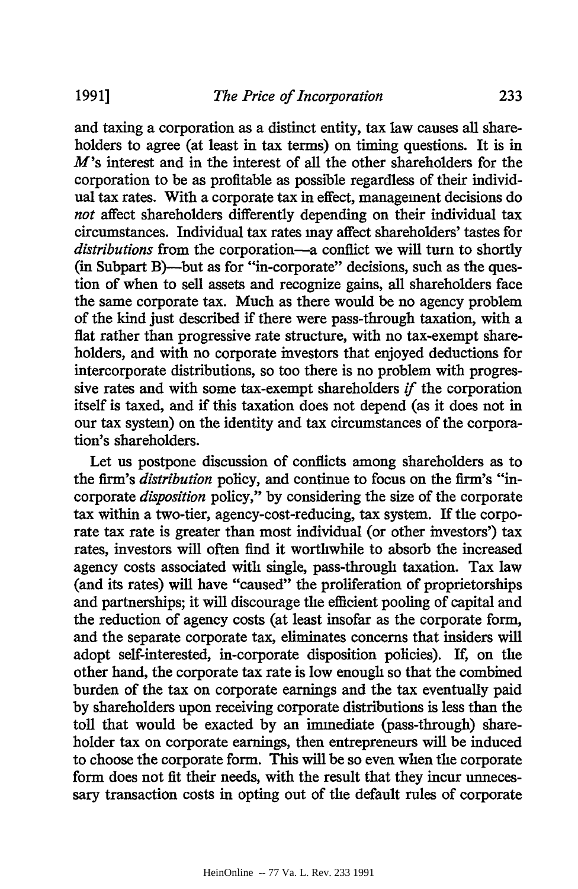and taxing a corporation as a distinct entity, tax law causes all shareholders to agree (at least in tax terms) on timing questions. It is in *M's* interest and in the interest of all the other shareholders for the corporation to be as profitable as possible regardless of their individual tax rates. With a corporate tax in effect, management decisions do *not* affect shareholders differently depending on their individual tax circumstances. Individual tax rates may affect shareholders' tastes for *distributions* from the corporation-a conflict we will turn to shortly (in Subpart B)—but as for "in-corporate" decisions, such as the question of when to sell assets and recognize gains, all shareholders face the same corporate tax. Much as there would be no agency problem of the kind just described if there were pass-through taxation, with a flat rather than progressive rate structure, with no tax-exempt shareholders, and with no corporate investors that enjoyed deductions for intercorporate distributions, so too there is no problem with progressive rates and with some tax-exempt shareholders *if* the corporation itself is taxed, and if this taxation does not depend (as it does not in our tax system) on the identity and tax circumstances of the corporation's shareholders.

Let us postpone discussion of conflicts among shareholders as to the firm's *distribution* policy, and continue to focus on the firm's "incorporate *disposition* policy," by considering the size of the corporate tax within a two-tier, agency-cost-reducing, tax system. If the corporate tax rate is greater than most individual (or other investors') tax rates, investors will often find it worthwhile to absorb the increased agency costs associated with single, pass-through taxation. Tax law (and its rates) will have "caused" the proliferation of proprietorships and partnerships; it will discourage the efficient pooling of capital and the reduction of agency costs (at least insofar as the corporate form, and the separate corporate tax, eliminates concerns that insiders will adopt self-interested, in-corporate disposition policies). If, on the other hand, the corporate tax rate is low enough so that the combined burden of the tax on corporate earnings and the tax eventually paid by shareholders upon receiving corporate distributions is less than the toll that would be exacted by an immediate (pass-through) shareholder tax on corporate earnings, then entrepreneurs will be induced to choose the corporate form. This will be so even when the corporate form does not fit their needs, with the result that they incur unnecessary transaction costs in opting out of the default rules of corporate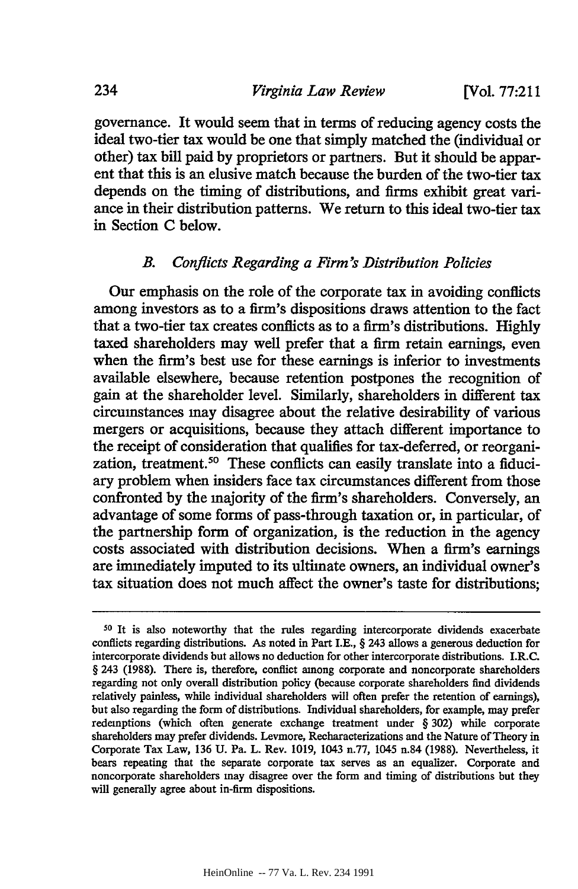governance. It would seem that in terms of reducing agency costs the ideal two-tier tax would be one that simply matched the (individual or other) tax bill paid by proprietors or partners. But it should be apparent that this is an elusive match because the burden of the two-tier tax depends on the timing of distributions, and firms exhibit great variance in their distribution patterns. We return to this ideal two-tier tax in Section C below.

#### *B. Conflicts Regarding a Firm's Distribution Policies*

Our emphasis on the role of the corporate tax in avoiding conflicts among investors as to a firm's dispositions draws attention to the fact that a two-tier tax creates conflicts as to a firm's distributions. Highly taxed shareholders may well prefer that a firm retain earnings, even when the firm's best use for these earnings is inferior to investments available elsewhere, because retention postpones the recognition of gain at the shareholder level. Similarly, shareholders in different tax circumstances may disagree about the relative desirability of various mergers or acquisitions, because they attach different importance to the receipt of consideration that qualifies for tax-deferred, or reorganization, treatment.<sup>50</sup> These conflicts can easily translate into a fiduciary problem when insiders face tax circumstances different from those confronted by the majority of the firm's shareholders. Conversely, an advantage of some forms of pass-through taxation or, in particular, of the partnership form of organization, is the reduction in the agency costs associated with distribution decisions. When a firm's earnings are immediately imputed to its ultimate owners, an individual owner's tax situation does not much affect the owner's taste for distributions;

**<sup>50</sup>**It is also noteworthy that the rules regarding intercorporate dividends exacerbate conflicts regarding distributions. As noted in Part I.E., § 243 allows a generous deduction for intercorporate dividends but allows no deduction for other intercorporate distributions. I.R.C. § 243 (1988). There is, therefore, conflict among corporate and noncorporate shareholders regarding not only overall distribution policy (because corporate shareholders find dividends relatively painless, while individual shareholders will often prefer the retention of earnings), but also regarding the form of distributions. Individual shareholders, for example, may prefer redemptions (which often generate exchange treatment under § 302) while corporate shareholders may prefer dividends. Levmore, Recharacterizations and the Nature of Theory in Corporate Tax Law, 136 U. Pa. L. Rev. 1019, 1043 n.77, 1045 n.84 (1988). Nevertheless, it bears repeating that the separate corporate tax serves as an equalizer. Corporate and noncorporate shareholders may disagree over the form and timing of distributions but they will generally agree about in-firm dispositions.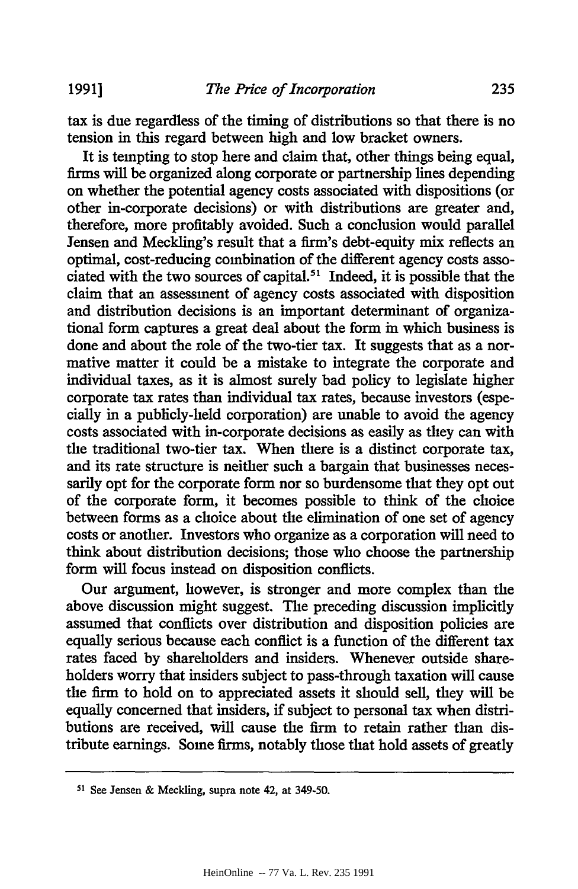**1991]**

tax is due regardless of the timing of distributions so that there is no tension in this regard between high and low bracket owners.

It is tempting to stop here and claim that, other things being equal, firms will be organized along corporate or partnership lines depending on whether the potential agency costs associated with dispositions (or other in-corporate decisions) or with distributions are greater and, therefore, more profitably avoided. Such a conclusion would parallel Jensen and Meckling's result that a firm's debt-equity mix reflects an optimal, cost-reducing combination of the different agency costs associated with the two sources of capital.51 Indeed, it is possible that the claim that an assessment of agency costs associated with disposition and distribution decisions is an important determinant of organizational form captures a great deal about the form in which business is done and about the role of the two-tier tax. It suggests that as a normative matter it could be a mistake to integrate the corporate and individual taxes, as it is almost surely bad policy to legislate higher corporate tax rates than individual tax rates, because investors (especially in a publicly-held corporation) are unable to avoid the agency costs associated with in-corporate decisions as easily as they can with the traditional two-tier tax. When there is a distinct corporate tax, and its rate structure is neither such a bargain that businesses necessarily opt for the corporate form nor so burdensome that they opt out of the corporate form, it becomes possible to think of the choice between forms as a choice about the elimination of one set of agency costs or another. Investors who organize as a corporation will need to think about distribution decisions; those who choose the partnership form will focus instead on disposition conflicts.

Our argument, however, is stronger and more complex than the above discussion might suggest. The preceding discussion implicitly assumed that conflicts over distribution and disposition policies are equally serious because each conflict is a function of the different tax rates faced by shareholders and insiders. Whenever outside shareholders worry that insiders subject to pass-through taxation will cause the firm to hold on to appreciated assets it should sell, they will be equally concerned that insiders, if subject to personal tax when distributions are received, will cause the firm to retain rather than distribute earnings. Some firms, notably those that hold assets of greatly

<sup>&</sup>lt;sup>51</sup> See Jensen & Meckling, supra note 42, at 349-50.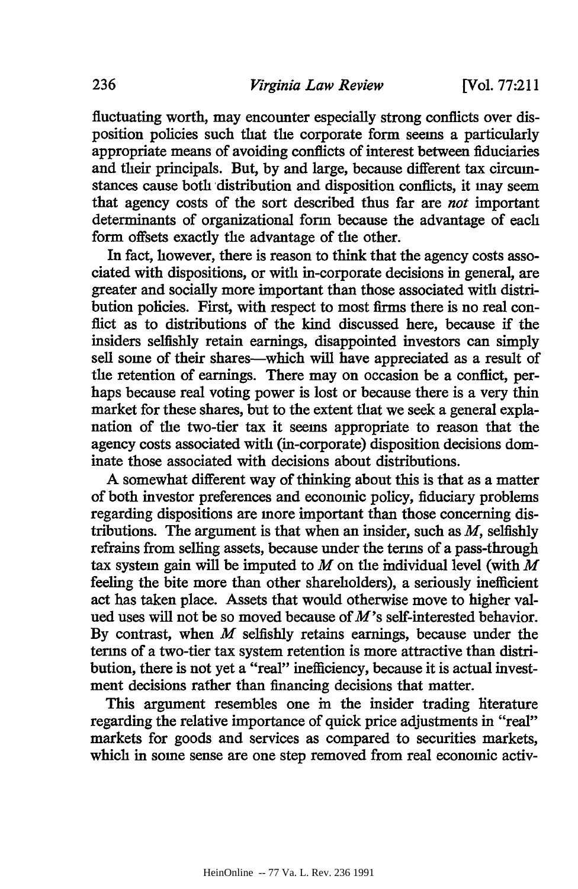fluctuating worth, may encounter especially strong conflicts over disposition policies such that the corporate form seems a particularly appropriate means of avoiding conflicts of interest between fiduciaries and their principals. But, by and large, because different tax circumstances cause both distribution and disposition conflicts, it may seem that agency costs of the sort described thus far are *not* important determinants of organizational form because the advantage of each form offsets exactly the advantage of the other.

In fact, however, there is reason to think that the agency costs associated with dispositions, or with in-corporate decisions in general, are greater and socially more important than those associated with distribution policies. First, with respect to most firms there is no real conflict as to distributions of the kind discussed here, because if the insiders selfishly retain earnings, disappointed investors can simply sell some of their shares-which will have appreciated as a result of the retention of earnings. There may on occasion be a conflict, perhaps because real voting power is lost or because there is a very thin market for these shares, but to the extent that we seek a general explanation of the two-tier tax it seems appropriate to reason that the agency costs associated with (in-corporate) disposition decisions dominate those associated with decisions about distributions.

**A** somewhat different way of thinking about this is that as a matter of both investor preferences and economic policy, fiduciary problems regarding dispositions are more important than those concerning distributions. The argument is that when an insider, such as *M,* selfishly refrains from selling assets, because under the terms of a pass-through tax system gain will be imputed to *M* on the individual level (with *M* feeling the bite more than other shareholders), a seriously inefficient act has taken place. Assets that would otherwise move to higher valued uses will not be so moved because of *M's* self-interested behavior. By contrast, when *M* selfishly retains earnings, because under the terms of a two-tier tax system retention is more attractive than distribution, there is not yet a "real" inefficiency, because it is actual investment decisions rather than financing decisions that matter.

This argument resembles one in the insider trading literature regarding the relative importance of quick price adjustments in "real" markets for goods and services as compared to securities markets, which in some sense are one step removed from real economic activ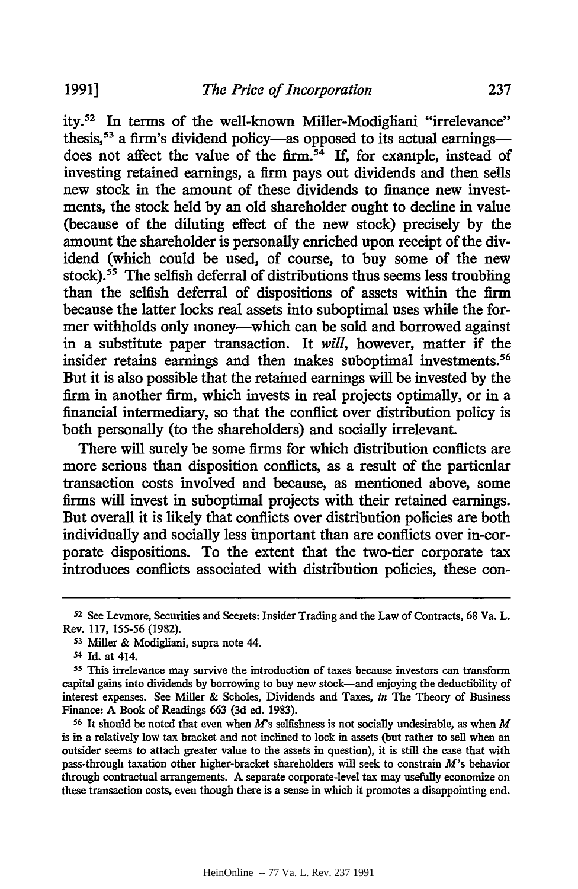ity.<sup>52</sup> In terms of the well-known Miller-Modigliani "irrelevance" thesis,<sup>53</sup> a firm's dividend policy-as opposed to its actual earningsdoes not affect the value of the firm.<sup>54</sup> If, for example, instead of investing retained earnings, a firm pays out dividends and then sells new stock in the amount of these dividends to finance new investments, the stock held by an old shareholder ought to decline in value (because of the diluting effect of the new stock) precisely by the amount the shareholder is personally enriched upon receipt of the dividend (which could be used, of course, to buy some of the new stock).<sup>55</sup> The selfish deferral of distributions thus seems less troubling than the selfish deferral of dispositions of assets within the firm because the latter locks real assets into suboptimal uses while the former withholds only money-which can be sold and borrowed against in a substitute paper transaction. It *will,* however, matter if the insider retains earnings and then makes suboptimal investments.<sup>56</sup> But it is also possible that the retained earnings will be invested by the firm in another firm, which invests in real projects optimally, or in a financial intermediary, so that the conflict over distribution policy is both personally (to the shareholders) and socially irrelevant.

There will surely be some firms for which distribution conflicts are more serious than disposition conflicts, as a result of the particular transaction costs involved and because, as mentioned above, some firms will invest in suboptimal projects with their retained earnings. But overall it is likely that conflicts over distribution policies are both individually and socially less important than are conflicts over in-corporate dispositions. To the extent that the two-tier corporate tax introduces conflicts associated with distribution policies, these con-

**1991]**

**<sup>52</sup>**See Levmore, Securities and Secrets: Insider Trading and the Law of Contracts, **68** Va. L. Rev. 117, 155-56 (1982).

**<sup>53</sup>**Miller & Modigliani, supra note 44.

<sup>54</sup> Id. at 414.

**<sup>55</sup>**This irrelevance may survive the introduction of taxes because investors can transform capital gains into dividends by borrowing to buy new stock-and enjoying the deductibility of interest expenses. See Miller & Scholes, Dividends and Taxes, *in* The Theory of Business Finance: A Book of Readings 663 (3d ed. 1983).

**<sup>56</sup>**It should be noted that even when *M's* selfishness is not socially undesirable, as when *M* is in a relatively low tax bracket and not inclined to lock in assets (but rather to sell when an outsider seems to attach greater value to the assets in question), it is still the case that with pass-through taxation other higher-bracket shareholders will seek to constrain *M's* behavior through contractual arrangements. A separate corporate-level tax may usefully economize on these transaction costs, even though there is a sense in which it promotes a disappointing end.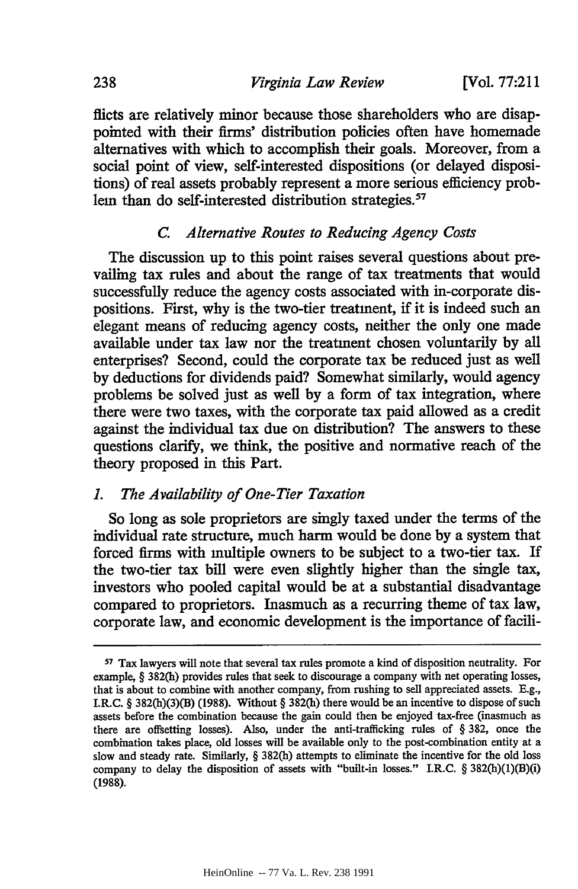fficts are relatively minor because those shareholders who are disappointed with their firms' distribution policies often have homemade alternatives with which to accomplish their goals. Moreover, from a social point of view, self-interested dispositions (or delayed dispositions) of real assets probably represent a more serious efficiency problem than do self-interested distribution strategies.<sup>57</sup>

#### *C. Alternative Routes to Reducing Agency Costs*

The discussion up to this point raises several questions about prevailing tax rules and about the range of tax treatments that would successfully reduce the agency costs associated with in-corporate dispositions. First, why is the two-tier treatment, if it is indeed such an elegant means of reducing agency costs, neither the only one made available under tax law nor the treatment chosen voluntarily by all enterprises? Second, could the corporate tax be reduced just as well by deductions for dividends paid? Somewhat similarly, would agency problems be solved just as well by a form of tax integration, where there were two taxes, with the corporate tax paid allowed as a credit against the individual tax due on distribution? The answers to these questions clarify, we think, the positive and normative reach of the theory proposed in this Part.

#### *L The Availability of One-Tier Taxation*

So long as sole proprietors are singly taxed under the terms of the individual rate structure, much harm would be done by a system that forced firms with multiple owners to be subject to a two-tier tax. If the two-tier tax bill were even slightly higher than the single tax, investors who pooled capital would be at a substantial disadvantage compared to proprietors. Inasmuch as a recurring theme of tax law, corporate law, and economic development is the importance of facili-

*<sup>57</sup>*Tax lawyers will note that several tax rules promote a kind of disposition neutrality. For example, § 382(h) provides rules that seek to discourage a company with net operating losses, that is about to combine with another company, from rushing to sell appreciated assets. E.g., I.R.C. § 382(h)(3)(B) (1988). Without § 382(h) there would be an incentive to dispose of such assets before the combination because the gain could then be enjoyed tax-free (inasmuch as there are offsetting losses). Also, under the anti-trafficking rules of § 382, once the combination takes place, old losses will be available only to the post-combination entity at a slow and steady rate. Similarly, § 382(h) attempts to eliminate the incentive for the old loss company to delay the disposition of assets with "built-in losses." I.R.C. § 382(h)(1)(B)(i) (1988).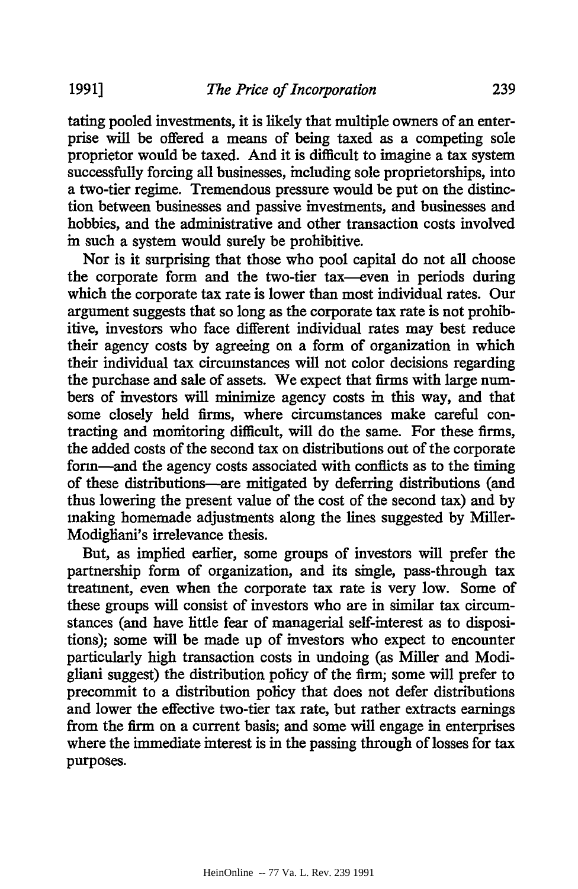tating pooled investments, it is likely that multiple owners of an enterprise will be offered a means of being taxed as a competing sole proprietor would be taxed. And it is difficult to imagine a tax system successfully forcing all businesses, including sole proprietorships, into a two-tier regime. Tremendous pressure would be put on the distinction between businesses and passive investments, and businesses and hobbies, and the administrative and other transaction costs involved in such a system would surely be prohibitive.

Nor is it surprising that those who pool capital do not all choose the corporate form and the two-tier tax-even in periods during which the corporate tax rate is lower than most individual rates. Our argument suggests that so long as the corporate tax rate is not prohibitive, investors who face different individual rates may best reduce their agency costs by agreeing on a form of organization in which their individual tax circumstances will not color decisions regarding the purchase and sale of assets. We expect that firms with large numbers of investors will minimize agency costs in this way, and that some closely held firms, where circumstances make careful contracting and monitoring difficult, will do the same. For these firms, the added costs of the second tax on distributions out of the corporate form-and the agency costs associated with conflicts as to the timing of these distributions-are mitigated by deferring distributions (and thus lowering the present value of the cost of the second tax) and by making homemade adjustments along the lines suggested by Miller-Modigliani's irrelevance thesis.

But, as implied earlier, some groups of investors will prefer the partnership form of organization, and its single, pass-through tax treatment, even when the corporate tax rate is very low. Some of these groups will consist of investors who are in similar tax circumstances (and have little fear of managerial self-interest as to dispositions); some will be made up of investors who expect to encounter particularly high transaction costs in undoing (as Miller and Modigliani suggest) the distribution policy of the firm; some will prefer to precommit to a distribution policy that does not defer distributions and lower the effective two-tier tax rate, but rather extracts earnings from the firm on a current basis; and some will engage in enterprises where the immediate interest is in the passing through of losses for tax purposes.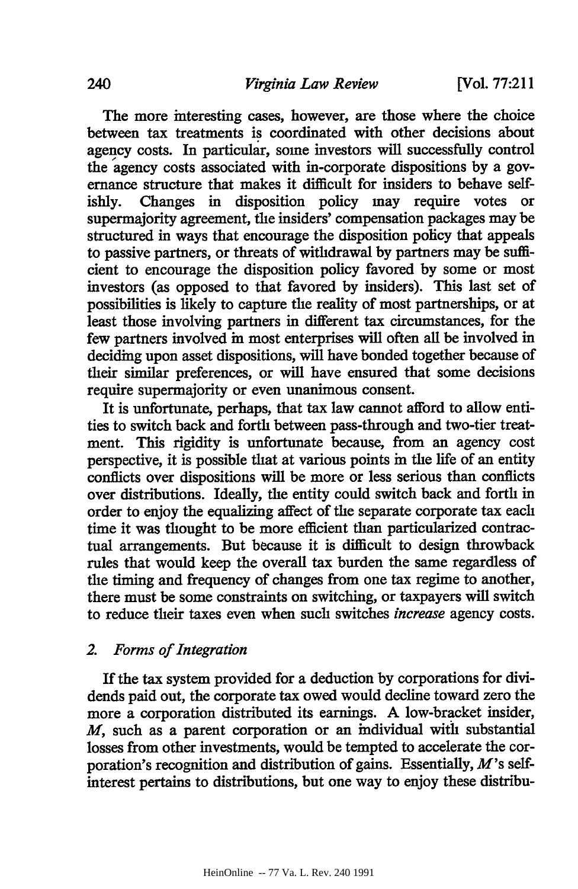The more interesting cases, however, are those where the choice between tax treatments is coordinated with other decisions about agency costs. In particular, some investors will successfully control the agency costs associated with in-corporate dispositions by a governance structure that makes it difficult for insiders to behave selfishly. Changes in disposition policy may require votes or supermajority agreement, the insiders' compensation packages may be structured in ways that encourage the disposition policy that appeals to passive partners, or threats of withdrawal by partners may be sufficient to encourage the disposition policy favored by some or most investors (as opposed to that favored by insiders). This last set of possibilities is likely to capture the reality of most partnerships, or at least those involving partners in different tax circumstances, for the few partners involved in most enterprises will often all be involved in deciding upon asset dispositions, will have bonded together because of their similar preferences, or will have ensured that some decisions require supermajority or even unanimous consent.

It is unfortunate, perhaps, that tax law cannot afford to allow entities to switch back and forth between pass-through and two-tier treatment. This rigidity is unfortunate because, from an agency cost perspective, it is possible that at various points in the life of an entity conflicts over dispositions will be more or less serious than conflicts over distributions. Ideally, the entity could switch back and forth in order to enjoy the equalizing affect of the separate corporate tax each time it was thought to be more efficient than particularized contractual arrangements. But because it is difficult to design throwback rules that would keep the overall tax burden the same regardless of the timing and frequency of changes from one tax regime to another, there must be some constraints on switching, or taxpayers will switch to reduce their taxes even when such switches *increase* agency costs.

#### *2. Forms of Integration*

If the tax system provided for a deduction **by** corporations for dividends paid out, the corporate tax owed would decline toward zero the more a corporation distributed its earnings. **A** low-bracket insider, *M,* such as a parent corporation or an individual with substantial losses from other investments, would be tempted to accelerate the corporation's recognition and distribution of gains. Essentially, *M's* selfinterest pertains to distributions, but one way to enjoy these distribu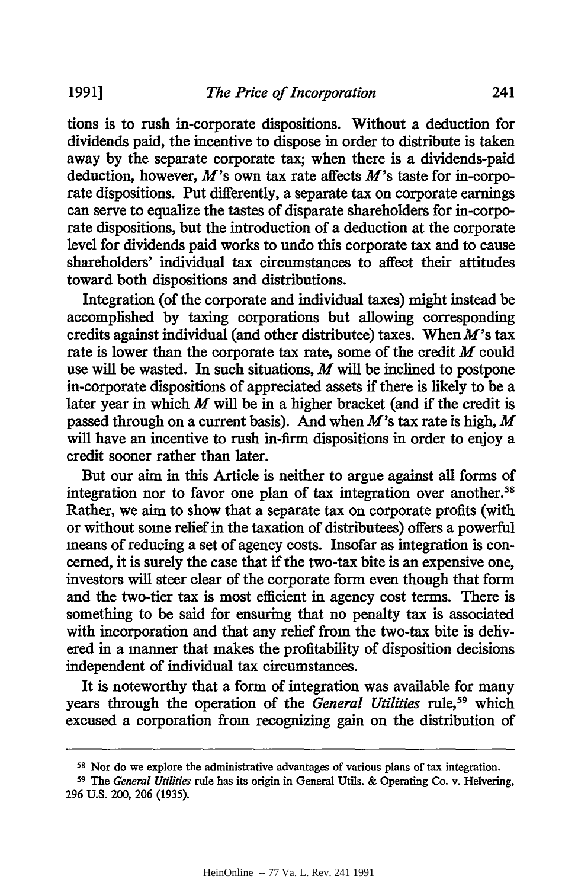tions is to rush in-corporate dispositions. Without a deduction for dividends paid, the incentive to dispose in order to distribute is taken away by the separate corporate tax; when there is a dividends-paid deduction, however, *M's* own tax rate affects *M's* taste for in-corporate dispositions. Put differently, a separate tax on corporate earnings can serve to equalize the tastes of disparate shareholders for in-corporate dispositions, but the introduction of a deduction at the corporate level for dividends paid works to undo this corporate tax and to cause shareholders' individual tax circumstances to affect their attitudes toward both dispositions and distributions.

Integration (of the corporate and individual taxes) might instead be accomplished by taxing corporations but allowing corresponding credits against individual (and other distributee) taxes. When  $M$ 's tax rate is lower than the corporate tax rate, some of the credit *M* could use will be wasted. In such situations, *M* will be inclined to postpone in-corporate dispositions of appreciated assets if there is likely to be a later year in which *M* will be in a higher bracket (and if the credit is passed through on a current basis). And when M's tax rate is high, *M* will have an incentive to rush in-firm dispositions in order to enjoy a credit sooner rather than later.

But our aim in this Article is neither to argue against all forms of integration nor to favor one plan of tax integration over another.<sup>58</sup> Rather, we aim to show that a separate tax on corporate profits (with or without some relief in the taxation of distributees) offers a powerful means of reducing a set of agency costs. Insofar as integration is concerned, it is surely the case that if the two-tax bite is an expensive one, investors will steer clear of the corporate form even though that form and the two-tier tax is most efficient in agency cost terms. There is something to be said for ensuring that no penalty tax is associated with incorporation and that any relief from the two-tax bite is delivered in a manner that makes the profitability of disposition decisions independent of individual tax circumstances.

It is noteworthy that a form of integration was available for many years through the operation of the *General Utilities* rule,<sup>59</sup> which excused a corporation from recognizing gain on the distribution of

**<sup>58</sup>**Nor do we explore the administrative advantages of various plans of tax integration.

**<sup>59</sup>**The *General Utilities* rule has its origin in General Utils. & Operating Co. v. Helvering, 296 U.S. 200, 206 (1935).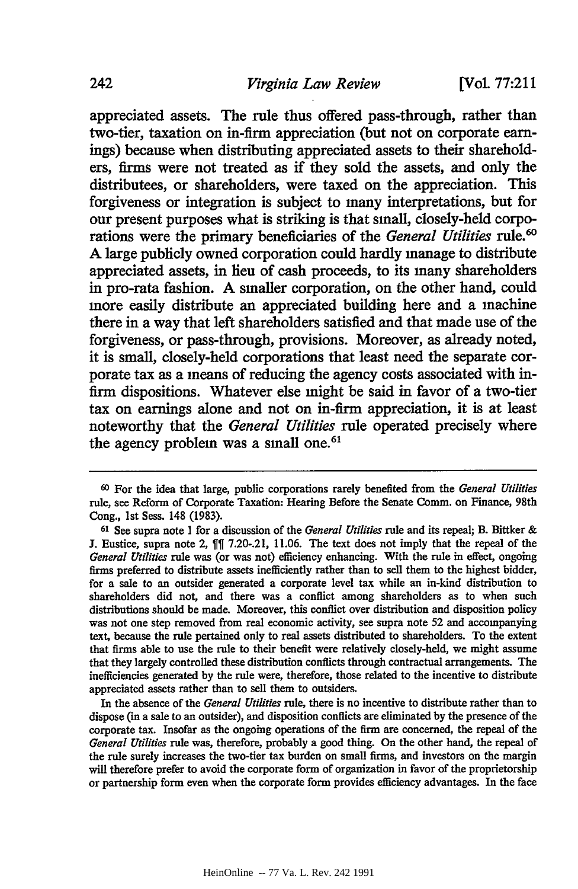appreciated assets. The rule thus offered pass-through, rather than two-tier, taxation on in-firm appreciation (but not on corporate earnings) because when distributing appreciated assets to their shareholders, firms were not treated as if they sold the assets, and only the distributees, or shareholders, were taxed on the appreciation. This forgiveness or integration is subject to many interpretations, but for our present purposes what is striking is that small, closely-held corporations were the primary beneficiaries of the *General Utilities rule.'* **A** large publicly owned corporation could hardly manage to distribute appreciated assets, in lieu of cash proceeds, to its many shareholders in pro-rata fashion. **A** smaller corporation, on the other hand, could more easily distribute an appreciated building here and a machine there in a way that left shareholders satisfied and that made use of the forgiveness, or pass-through, provisions. Moreover, as already noted, it is small, closely-held corporations that least need the separate corporate tax as a means of reducing the agency costs associated with infirm dispositions. Whatever else might be said in favor of a two-tier tax on earnings alone and not on in-firm appreciation, it is at least noteworthy that the *General Utilities* rule operated precisely where the agency problem was a small one.<sup>61</sup>

In the absence of the *General Utilities* rule, there is no incentive to distribute rather than to dispose (in a sale to an outsider), and disposition conflicts are eliminated **by** the presence of the corporate tax. Insofar as the ongoing operations of the firm are concerned, the repeal of the *General Utilities* rule was, therefore, probably a good thing. On the other hand, the repeal of the rule surely increases the two-tier tax burden on small firms, and investors on the margin will therefore prefer to avoid the corporate form of organization in favor of the proprietorship or partnership form even when the corporate form provides efficiency advantages. In the face

**<sup>60</sup>**For the idea that large, public corporations rarely benefited from the *General Utilities* rule, see Reform of Corporate Taxation: Hearing Before the Senate Comm. on Finance, 98th Cong., **1st** Sess. 148 **(1983).**

**<sup>61</sup>** See supra note **1** for a discussion of the *General Utilities* rule and its repeal; B. Bittker & **J.** Eustice, supra note 2, **7.20-.21, 11.06.** The text does not imply that the repeal of the *General Utilities* rule was (or was not) efficiency enhancing. With the rule in effect, ongoing firms preferred to distribute assets inefficiently rather than to sell them to the highest bidder, for a sale to an outsider generated a corporate level tax while an in-kind distribution to shareholders did not, and there was a conflict among shareholders as to when such distributions should be made. Moreover, this conflict over distribution and disposition policy was not one step removed from real economic activity, see supra note **52** and accompanying text, because the rule pertained only to real assets distributed to shareholders. To the extent that **firms** able to use the rule to their benefit were relatively closely-held, we might assume that they largely controlled these distribution conflicts through contractual arrangements. The inefficiencies generated **by** the rule were, therefore, those related to the incentive to distribute appreciated assets rather than to sell them to outsiders.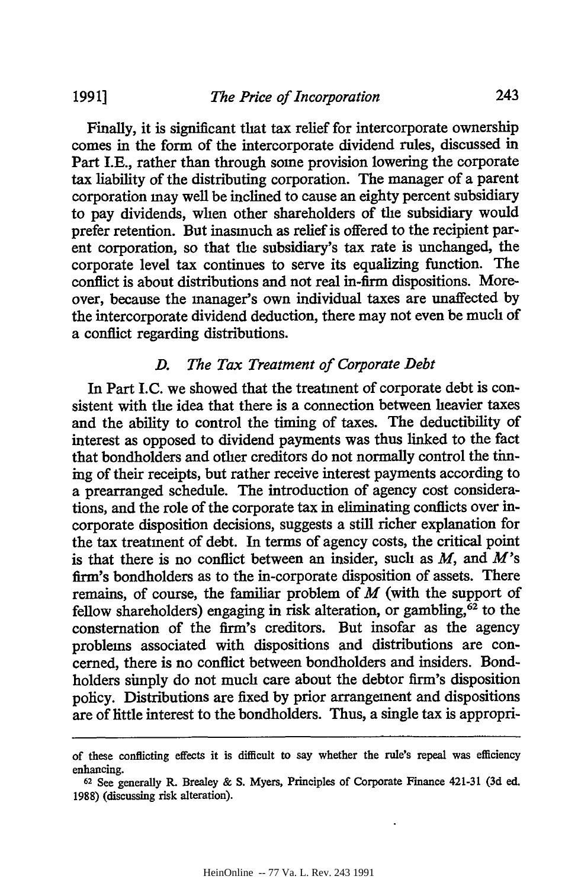Finally, it is significant that tax relief for intercorporate ownership comes in the form of the intercorporate dividend rules, discussed in Part I.E., rather than through some provision lowering the corporate tax liability of the distributing corporation. The manager of a parent corporation may well be inclined to cause an eighty percent subsidiary to pay dividends, when other shareholders of the subsidiary would prefer retention. But inasmuch as relief is offered to the recipient parent corporation, so that the subsidiary's tax rate is unchanged, the corporate level tax continues to serve its equalizing function. The conflict is about distributions and not real in-firm dispositions. Moreover, because the manager's own individual taxes are unaffected by the intercorporate dividend deduction, there may not even be much of a conflict regarding distributions.

#### *D. The Tax Treatment of Corporate Debt*

In Part I.C. we showed that the treatment of corporate debt is consistent with the idea that there is a connection between heavier taxes and the ability to control the timing of taxes. The deductibility of interest as opposed to dividend payments was thus linked to the fact that bondholders and other creditors do not normally control the timing of their receipts, but rather receive interest payments according to a prearranged schedule. The introduction of agency cost considerations, and the role of the corporate tax in eliminating conflicts over incorporate disposition decisions, suggests a still richer explanation for the tax treatment of debt. In terms of agency costs, the critical point is that there is no conflict between an insider, such as *M,* and M's firm's bondholders as to the in-corporate disposition of assets. There remains, of course, the familiar problem of *M* (with the support of fellow shareholders) engaging in risk alteration, or gambling, $62$  to the consternation of the firm's creditors. But insofar as the agency problems associated with dispositions and distributions are concerned, there is no conflict between bondholders and insiders. Bondholders simply do not much care about the debtor firm's disposition policy. Distributions are fixed **by** prior arrangement and dispositions are of little interest to the bondholders. Thus, a single tax is appropri-

of these conflicting effects it is difficult to say whether the rule's repeal was efficiency enhancing.

**<sup>62</sup>**See generally **R.** Brealey & **S.** Myers, Principles of Corporate Finance 421-31 **(3d** ed. 1988) (discussing risk alteration).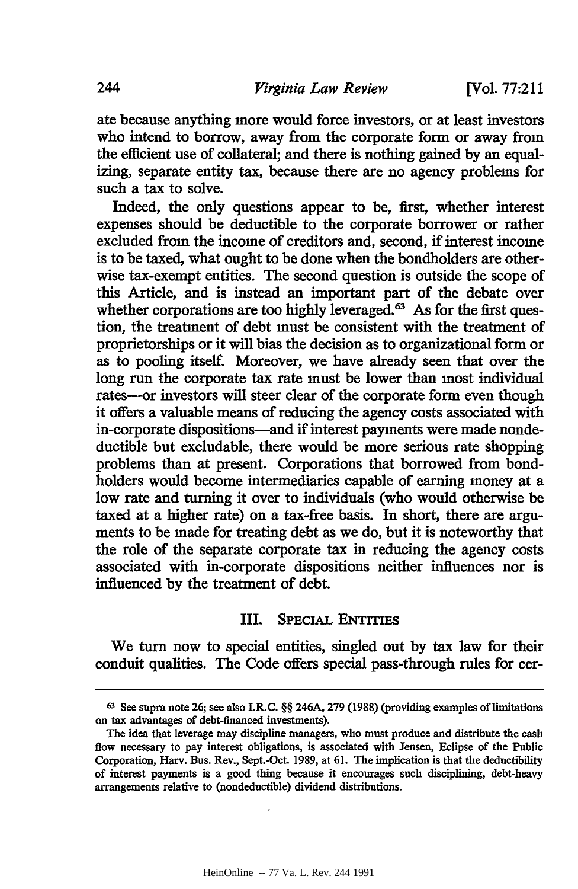ate because anything more would force investors, or at least investors who intend to borrow, away from the corporate form or away from the efficient use of collateral; and there is nothing gained by an equalizing, separate entity tax, because there are no agency problems for such a tax to solve.

Indeed, the only questions appear to be, first, whether interest expenses should be deductible to the corporate borrower or rather excluded from the income of creditors and, second, if interest income is to be taxed, what ought to be done when the bondholders are otherwise tax-exempt entities. The second question is outside the scope of this Article, and is instead an important part of the debate over whether corporations are too highly leveraged.<sup>63</sup> As for the first question, the treatment of debt must be consistent with the treatment of proprietorships or it will bias the decision as to organizational form or as to pooling itself. Moreover, we have already seen that over the long run the corporate tax rate must be lower than most individual rates--or investors will steer clear of the corporate form even though it offers a valuable means of reducing the agency costs associated with in-corporate dispositions-and if interest payments were made nondeductible but excludable, there would be more serious rate shopping problems than at present. Corporations that borrowed from bondholders would become intermediaries capable of earning money at a low rate and turning it over to individuals (who would otherwise be taxed at a higher rate) on a tax-free basis. In short, there are arguments to be made for treating debt as we do, but it is noteworthy that the role of the separate corporate tax in reducing the agency costs associated with in-corporate dispositions neither influences nor is influenced by the treatment of debt.

#### III. SPECIAL ENTITIES

We turn now to special entities, singled out **by** tax law for their conduit qualities. The Code offers special pass-through rules for cer-

**<sup>63</sup>**See supra note 26; see also **I.R.C.** §§ 246A, **279** (1988) (providing examples of limitations on tax advantages of debt-financed investments).

The idea that leverage may discipline managers, who must produce and distribute the cash flow necessary to pay interest obligations, is associated with Jensen, Eclipse of the Public Corporation, Harv. Bus. Rev., Sept.-Oct. 1989, at **61.** The implication is that the deductibility of interest payments is a good thing because it encourages such disciplining, debt-heavy arrangements relative to (nondeductible) dividend distributions.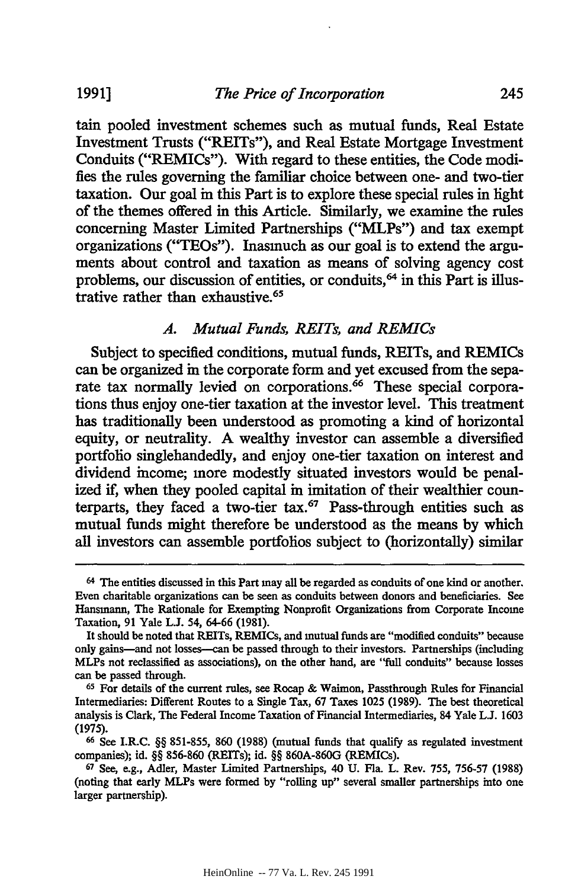tain pooled investment schemes such as mutual funds, Real Estate Investment Trusts ("REITs"), and Real Estate Mortgage Investment Conduits ("REMICs"). With regard to these entities, the Code modifies the rules governing the familiar choice between one- and two-tier taxation. Our goal in this Part is to explore these special rules in light of the themes offered in this Article. Similarly, we examine the rules concerning Master Limited Partnerships ("MLPs") and tax exempt organizations ("TEOs"). Inasmuch as our goal is to extend the arguments about control and taxation as means of solving agency cost problems, our discussion of entities, or conduits,<sup>64</sup> in this Part is illustrative rather than exhaustive.65

#### *A. Mutual Funds, REITs, and REMICs*

Subject to specified conditions, mutual funds, REITs, and REMICs can be organized in the corporate form and yet excused from the separate tax normally levied on corporations.<sup>66</sup> These special corporations thus enjoy one-tier taxation at the investor level. This treatment has traditionally been understood as promoting a kind of horizontal equity, or neutrality. **A** wealthy investor can assemble a diversified portfolio singlehandedly, and enjoy one-tier taxation on interest and dividend income; more modestly situated investors would be penalized *if,* when they pooled capital in imitation of their wealthier counterparts, they faced a two-tier tax.<sup>67</sup> Pass-through entities such as mutual funds might therefore be understood as the means by which all investors can assemble portfolios subject to (horizontally) similar

<sup>64</sup> The entities discussed in this Part may all be regarded as conduits of one kind or another. Even charitable organizations can be seen as conduits between donors and beneficiaries. See Hansmann, The Rationale for Exempting Nonprofit Organizations from Corporate Income Taxation, 91 Yale **L.J.** 54, 64-66 (1981).

It should be noted that REITs, REMICs, and mutual funds are "modified conduits" because only gains-and not losses-can be passed through to their investors. Partnerships (including MLPs not reclassified as associations), on the other hand, are "full conduits" because losses can be passed through.

**<sup>65</sup>**For details of the current rules, see Roecap & Waimon, Passthrough Rules for Financial Intermediaries: Different Routes to a Single Tax, 67 Taxes 1025 (1989). The best theoretical analysis is Clark, The Federal Income Taxation of Financial Intermediaries, 84 Yale L.J. 1603 (1975).

**<sup>66</sup>**See I.R.C. §§ 851-855, 860 (1988) (mutual funds that qualify as regulated investment companies); id. §§ 856-860 (REITs); id. §§ 860A-860G (REMICs).

**<sup>67</sup>**See, e.g., Adler, Master Limited Partnerships, 40 U. Fla. L. Rev. 755, 756-57 (1988) (noting that early MLPs were formed by "rolling up" several smaller partnerships into one larger partnership).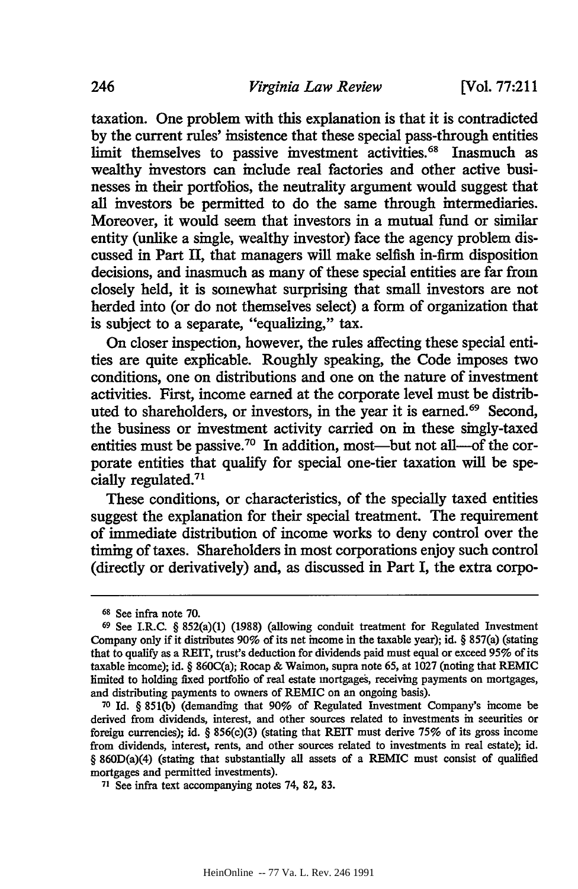taxation. One problem with this explanation is that it is contradicted by the current rules' insistence that these special pass-through entities limit themselves to passive investment activities.<sup>68</sup> Inasmuch as wealthy investors can include real factories and other active businesses in their portfolios, the neutrality argument would suggest that all investors be permitted to do the same through intermediaries. Moreover, it would seem that investors in a mutual fund or similar entity (unlike a single, wealthy investor) face the agency problem discussed in Part II, that managers will make selfish in-firm disposition decisions, and inasmuch as many of these special entities are far from closely held, it is somewhat surprising that small investors are not herded into (or do not themselves select) a form of organization that is subject to a separate, "equalizing," tax.

On closer inspection, however, the rules affecting these special entities are quite explicable. Roughly speaking, the Code imposes two conditions, one on distributions and one on the nature of investment activities. First, income earned at the corporate level must be distributed to shareholders, or investors, in the year it is earned.<sup>69</sup> Second, the business or investment activity carried on in these singly-taxed entities must be passive.<sup>70</sup> In addition, most—but not all-of the corporate entities that qualify for special one-tier taxation will be specially regulated.71

These conditions, or characteristics, of the specially taxed entities suggest the explanation for their special treatment. The requirement of immediate distribution of income works to deny control over the timing of taxes. Shareholders in most corporations enjoy such control (directly or derivatively) and, as discussed in Part I, the extra corpo-

**<sup>68</sup>**See infra note **70.**

**<sup>69</sup>**See I.R.C. § 852(a)(1) **(1988)** (allowing conduit treatment for Regulated Investment Company only if it distributes **90%** of its net income in the taxable year); id. § 857(a) (stating that to qualify as a REIT, trust's deduction for dividends paid must equal or exceed 95% of its taxable income); id. § 860C(a); Rocap **&** Waimon, supra note **65,** at **1027** (noting that REMIC limited to holding fixed portfolio of real estate mortgages, receiving payments on mortgages, and distributing payments to owners of REMIC on an ongoing basis).

**<sup>70</sup>**Id. § **851(b)** (demanding that **90%** of Regulated Investment Company's income be derived from dividends, interest, and other sources related to investments in securities or foreign currencies); id. § 856(c)(3) (stating that REIT must derive **75%** of its gross income from dividends, interest, rents, and other sources related to investments in real estate); id. § 860D(a)(4) (stating that substantially all assets of a REMIC must consist of qualified mortgages and permitted investments).

**<sup>71</sup>** See infra text accompanying notes 74, **82, 83.**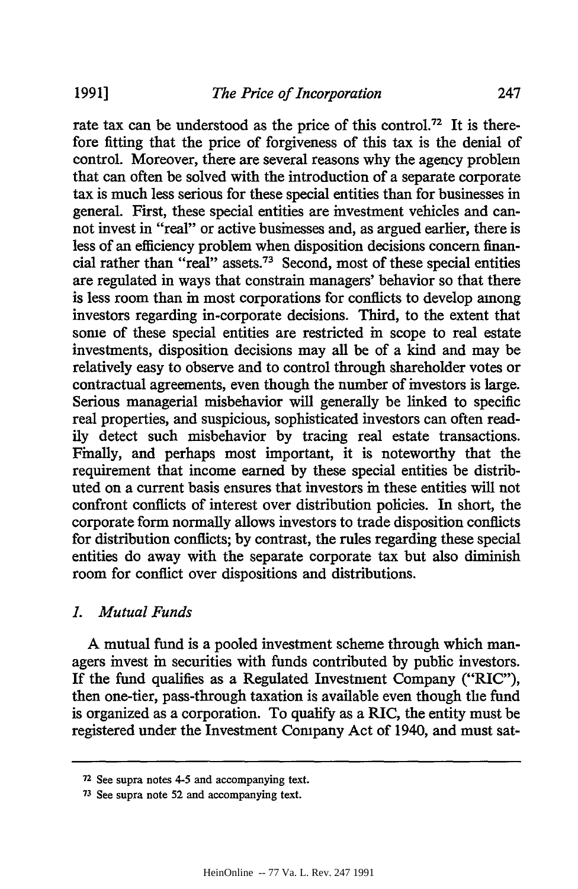rate tax can be understood as the price of this control.<sup>72</sup> It is therefore fitting that the price of forgiveness of this tax is the denial of control. Moreover, there are several reasons why the agency problem that can often be solved with the introduction of a separate corporate tax is much less serious for these special entities than for businesses in general. First, these special entities are investment vehicles and cannot invest in "real" or active businesses and, as argued earlier, there is less of an efficiency problem when disposition decisions concern financial rather than "real" assets.73 Second, most of these special entities are regulated in ways that constrain managers' behavior so that there is less room than in most corporations for conflicts to develop among investors regarding in-corporate decisions. Third, to the extent that some of these special entities are restricted in scope to real estate investments, disposition decisions may all be of a kind and may be relatively easy to observe and to control through shareholder votes or contractual agreements, even though the number of investors is large. Serious managerial misbehavior will generally be linked to specific real properties, and suspicious, sophisticated investors can often readily detect such misbehavior by tracing real estate transactions. Finally, and perhaps most important, it is noteworthy that the requirement that income earned by these special entities be distributed on a current basis ensures that investors in these entities will not confront conflicts of interest over distribution policies. In short, the corporate form normally allows investors to trade disposition conflicts for distribution conflicts; by contrast, the rules regarding these special entities do away with the separate corporate tax but also diminish room for conflict over dispositions and distributions.

## *1. Mutual Funds*

A mutual fund is a pooled investment scheme through which managers invest in securities with funds contributed by public investors. If the fund qualifies as a Regulated Investment Company ("RIC"), then one-tier, pass-through taxation is available even though the fund is organized as a corporation. To qualify as a RIC, the entity must be registered under the Investment Company Act of 1940, and must sat-

**<sup>72</sup>**See supra notes 4-5 and accompanying text.

**<sup>73</sup>**See supra note 52 and accompanying text.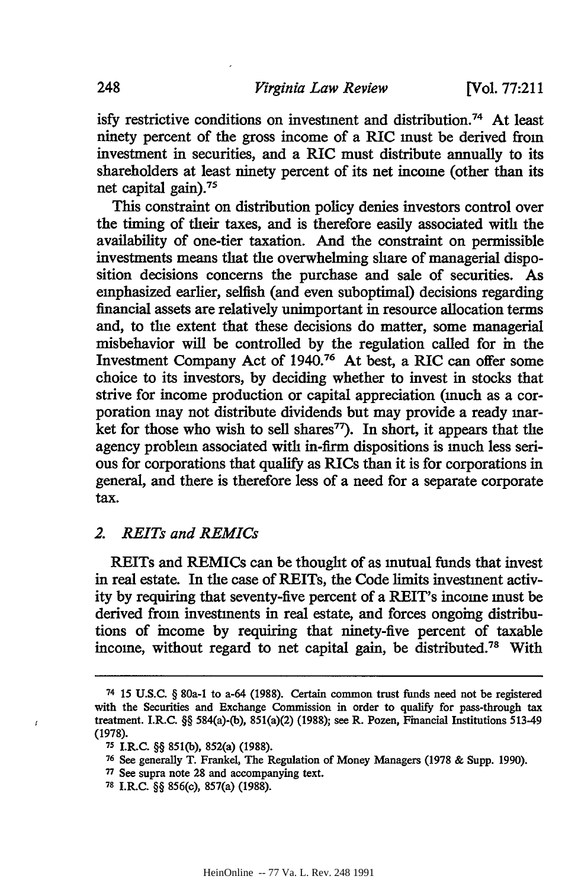isfy restrictive conditions on investment and distribution.74 At least ninety percent of the gross income of a RIC must be derived from investment in securities, and a RIC must distribute annually to its shareholders at least ninety percent of its net income (other than its net capital gain). <sup>75</sup>

This constraint on distribution policy denies investors control over the timing of their taxes, and is therefore easily associated with the availability of one-tier taxation. And the constraint on permissible investments means that the overwhelming share of managerial disposition decisions concerns the purchase and sale of securities. As emphasized earlier, selfish (and even suboptimal) decisions regarding financial assets are relatively unimportant in resource allocation terms and, to the extent that these decisions do matter, some managerial misbehavior will be controlled **by** the regulation called for in the Investment Company Act of **1940.76** At best, a RIC can offer some choice to its investors, **by** deciding whether to invest in stocks that strive for income production or capital appreciation (much as a corporation may not distribute dividends but may provide a ready market for those who wish to sell shares<sup> $77$ </sup>). In short, it appears that the agency problem associated with in-firm dispositions is much less serious for corporations that qualify as RICs than it is for corporations in general, and there is therefore less of a need for a separate corporate tax.

#### *2. REITs and REMICs*

REITs and REMICs can be thought of as mutual funds that invest in real estate. In the case of REITs, the Code limits investment activity **by** requiring that seventy-five percent of a REIT's income must be derived from investments in real estate, and forces ongoing distributions of income **by** requiring that ninety-five percent of taxable income, without regard to net capital gain, be distributed.78 With

 $\mathbf{f}$ 

**<sup>74 15</sup> U.S.C.** § 80a-1 to a-64 **(1988).** Certain common trust funds need not be registered with the Securities and Exchange Commission in order to qualify for pass-through tax treatment. I.R.C. §§ 584(a)-(b), 851(a)(2) **(1988);** see R. Pozen, Financial Institutions 513-49 (1978).

**<sup>75</sup>**I.R.C. §§ **851(b),** 852(a) (1988).

**<sup>76</sup>**See generally T. Frankel, The Regulation of Money Managers (1978 & Supp. 1990).

**<sup>77</sup>**See supra note 28 and accompanying text.

**<sup>78</sup>**I.R.C. §§ 856(c), 857(a) **(1988).**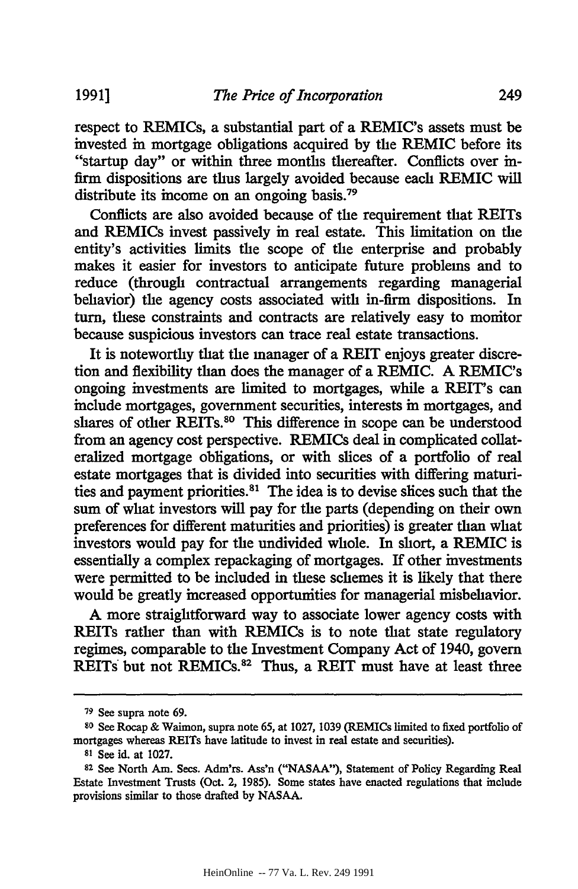respect to REMICs, a substantial part of a REMIC's assets must be invested in mortgage obligations acquired by the REMIC before its "startup day" or within three months thereafter. Conflicts over infirm dispositions are thus largely avoided because each REMIC will distribute its income on an ongoing basis.<sup>79</sup>

Conflicts are also avoided because of the requirement that REITs and REMICs invest passively in real estate. This limitation on the entity's activities limits the scope of the enterprise and probably makes it easier for investors to anticipate future problems and to reduce (through contractual arrangements regarding managerial behavior) the agency costs associated with in-firm dispositions. In turn, these constraints and contracts are relatively easy to monitor because suspicious investors can trace real estate transactions.

It is noteworthy that the manager of a REIT enjoys greater discretion and flexibility than does the manager of a REMIC. **A** REMIC's ongoing investments are limited to mortgages, while a REIT's can include mortgages, government securities, interests in mortgages, and shares of other REITs.<sup>80</sup> This difference in scope can be understood from an agency cost perspective. REMICs deal in complicated collateralized mortgage obligations, or with slices of a portfolio of real estate mortgages that is divided into securities with differing maturities and payment priorities.<sup>81</sup> The idea is to devise slices such that the sum of what investors will pay for the parts (depending on their own preferences for different maturities and priorities) is greater than what investors would pay for the undivided whole. In short, a REMIC is essentially a complex repackaging of mortgages. If other investments were permitted to be included in these schemes it is likely that there would be greatly increased opportunities for managerial misbehavior.

**A** more straightforward way to associate lower agency costs with REITs rather than with REMICs is to note that state regulatory regimes, comparable to the Investment Company Act of 1940, govern REITs but not REMICs.<sup>82</sup> Thus, a REIT must have at least three

**1991]**

**<sup>79</sup>**See supra note **69.**

**so** See Rocap & Waimon, supra note 65, at 1027, 1039 (REMICs limited to fixed portfolio of mortgages whereas REITs have latitude to invest in real estate and securities).

**<sup>81</sup>** See id. at 1027.

**<sup>82</sup>**See North Am. Sees. Adm'rs. Ass'n ("NASAA"), Statement of Policy Regarding Real Estate Investment Trusts (Oct. 2, 1985). Some states have enacted regulations that include provisions similar to those drafted by NASAA.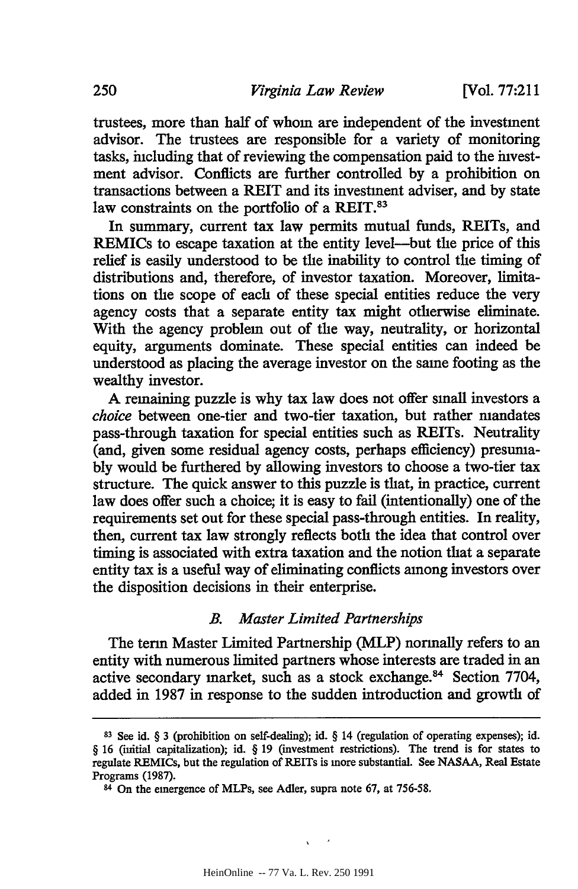trustees, more than half of whom are independent of the investment advisor. The trustees are responsible for a variety of monitoring tasks, including that of reviewing the compensation paid to the investment advisor. Conflicts are further controlled by a prohibition on transactions between a REIT and its investment adviser, and by state law constraints on the portfolio of a REIT.<sup>83</sup>

In summary, current tax law permits mutual funds, REITs, and REMICs to escape taxation at the entity level-but the price of this relief is easily understood to be the inability to control the timing of distributions and, therefore, of investor taxation. Moreover, limitations on the scope of each of these special entities reduce the very agency costs that a separate entity tax might otherwise eliminate. With the agency problem out of the way, neutrality, or horizontal equity, arguments dominate. These special entities can indeed be understood as placing the average investor on the same footing as the wealthy investor.

A remaining puzzle is why tax law does not offer small investors a *choice* between one-tier and two-tier taxation, but rather mandates pass-through taxation for special entities such as REITs. Neutrality (and, given some residual agency costs, perhaps efficiency) presumably would be furthered by allowing investors to choose a two-tier tax structure. The quick answer to this puzzle is that, in practice, current law does offer such a choice; it is easy to fail (intentionally) one of the requirements set out for these special pass-through entities. In reality, then, current tax law strongly reflects both the idea that control over timing is associated with extra taxation and the notion that a separate entity tax is a useful way of eliminating conflicts among investors over the disposition decisions in their enterprise.

#### *B. Master Limited Partnerships*

The term Master Limited Partnership (MLP) normally refers to an entity with numerous limited partners whose interests are traded in an active secondary market, such as a stock exchange.<sup>84</sup> Section 7704, added in 1987 in response to the sudden introduction and growth of

 $\mathbf{v}$  $\sim$   $\sim$ 

**<sup>83</sup>**See id. § 3 (prohibition on self-dealing); id. § 14 (regulation of operating expenses); id. § 16 (initial capitalization); id. § 19 (investment restrictions). The trend is for states to regulate REMICs, but the regulation of REITs is more substantial. See **NASAA,** Real Estate Programs (1987).

<sup>84</sup> On the emergence of MLPs, see Adler, supra note 67, at 756-58.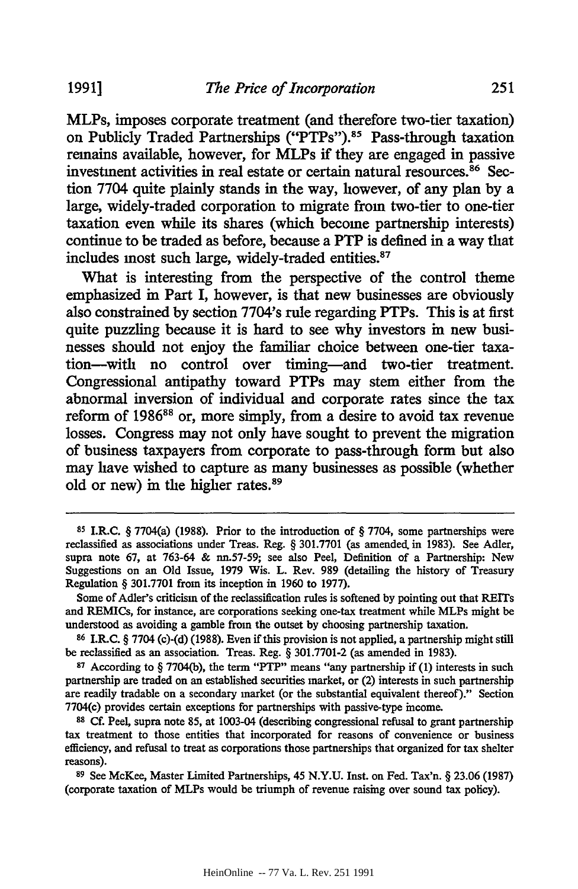MLPs, imposes corporate treatment (and therefore two-tier taxation) on Publicly Traded Partnerships ("PTPs").<sup>85</sup> Pass-through taxation remains available, however, for MLPs if they are engaged in passive investment activities in real estate or certain natural resources.<sup>86</sup> Section 7704 quite plainly stands in the way, however, of any plan by a large, widely-traded corporation to migrate from two-tier to one-tier taxation even while its shares (which become partnership interests) continue to be traded as before, because a PTP is defined in a way that includes most such large, widely-traded entities.<sup>87</sup>

What is interesting from the perspective of the control theme emphasized in Part I, however, is that new businesses are obviously also constrained by section 7704's rule regarding PTPs. This is at first quite puzzling because it is hard to see why investors in new businesses should not enjoy the familiar choice between one-tier taxation-with no control over timing-and two-tier treatment. Congressional antipathy toward PTPs may stem either from the abnormal inversion of individual and corporate rates since the tax reform of 1986<sup>88</sup> or, more simply, from a desire to avoid tax revenue losses. Congress may not only have sought to prevent the migration of business taxpayers from corporate to pass-through form but also may have wished to capture as many businesses as possible (whether old or new) in the higher rates.<sup>89</sup>

**<sup>85</sup>**I.R.C. § 7704(a) **(1988).** Prior to the introduction of § 7704, some partnerships were reclassified as associations under Treas. Reg. § 301.7701 (as amended, in 1983). See Adler, supra note 67, at 763-64 & nn.57-59; see also Peel, Definition of a Partnership: New Suggestions on an Old Issue, 1979 Wis. L. Rev. 989 (detailing the history of Treasury Regulation § 301.7701 from its inception in 1960 to 1977).

Some of Adler's criticism of the reclassification rules is softened **by** pointing out that REITs and REMICs, for instance, are corporations seeking one-tax treatment while MLPs might be understood as avoiding a gamble from the outset by choosing partnership taxation.

**<sup>86</sup>**1.LC. § 7704 (c)-(d) (1988). Even if this provision is not applied, a partnership might still be reclassified as an association. Treas. Reg. § 301.7701-2 (as amended in 1983).

**<sup>87</sup>**According to § 7704(b), the term "PTP" means "any partnership if (1) interests in such partnership are traded on an established securities market, or (2) interests in such partnership are readily tradable on a secondary market (or the substantial equivalent thereof)." Section 7704(c) provides certain exceptions for partnerships with passive-type income.

**<sup>88</sup> Cf.** Peel, supra note 85, at 1003-04 (describing congressional refusal to grant partnership tax treatment to those entities that incorporated for reasons of convenience or business efficiency, and refusal to treat as corporations those partnerships that organized for tax shelter reasons).

**<sup>89</sup>**See McKee, Master Limited Partnerships, 45 N.Y.U. Inst. on Fed. Tax'n. § 23.06 (1987) (corporate taxation of MLPs would be triumph of revenue raising over sound tax policy).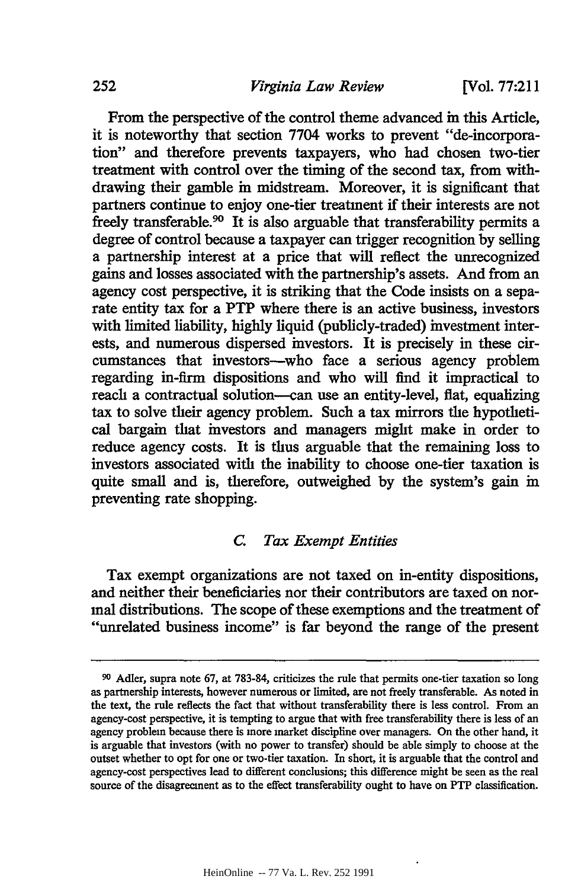**[Vol. 77:211**

From the perspective of the control theme advanced in this Article, it is noteworthy that section 7704 works to prevent "de-incorporation" and therefore prevents taxpayers, who had chosen two-tier treatment with control over the timing of the second tax, from withdrawing their gamble in midstream. Moreover, it is significant that partners continue to enjoy one-tier treatment if their interests are not freely transferable.<sup>90</sup> It is also arguable that transferability permits a degree of control because a taxpayer can trigger recognition by selling a partnership interest at a price that will reflect the unrecognized gains and losses associated with the partnership's assets. And from an agency cost perspective, it is striking that the Code insists on a separate entity tax for a PTP where there is an active business, investors with limited liability, highly liquid (publicly-traded) investment interests, and numerous dispersed investors. It is precisely in these circumstances that investors-who face a serious agency problem regarding in-firm dispositions and who will find it impractical to reach a contractual solution-can use an entity-level, flat, equalizing tax to solve their agency problem. Such a tax mirrors the hypothetical bargain that investors and managers might make in order to reduce agency costs. It is thus arguable that the remaining loss to investors associated with the inability to choose one-tier taxation is quite small and is, therefore, outweighed by the system's gain in preventing rate shopping.

#### *C. Tax Exempt Entities*

Tax exempt organizations are not taxed on in-entity dispositions, and neither their beneficiaries nor their contributors are taxed on normal distributions. The scope of these exemptions and the treatment of "unrelated business income" is far beyond the range of the present

**<sup>90</sup>**Adler, supra note **67,** at 783-84, criticizes the rule that permits one-tier taxation so long as partnership interests, however numerous or limited, are not freely transferable. As noted in the text, the rule reflects the fact that without transferability there is less control. From an agency-cost perspective, it is tempting to argue that with free transferability there is less of an agency problem because there is more market discipline over managers. On the other hand, it is arguable that investors (with no power to transfer) should be able simply to choose at the outset whether to opt for one or two-tier taxation. In short, it is arguable that the control and agency-cost perspectives lead to different conclusions; this difference might be seen as the real source of the disagreement as to the effect transferability ought to have on PTP classification.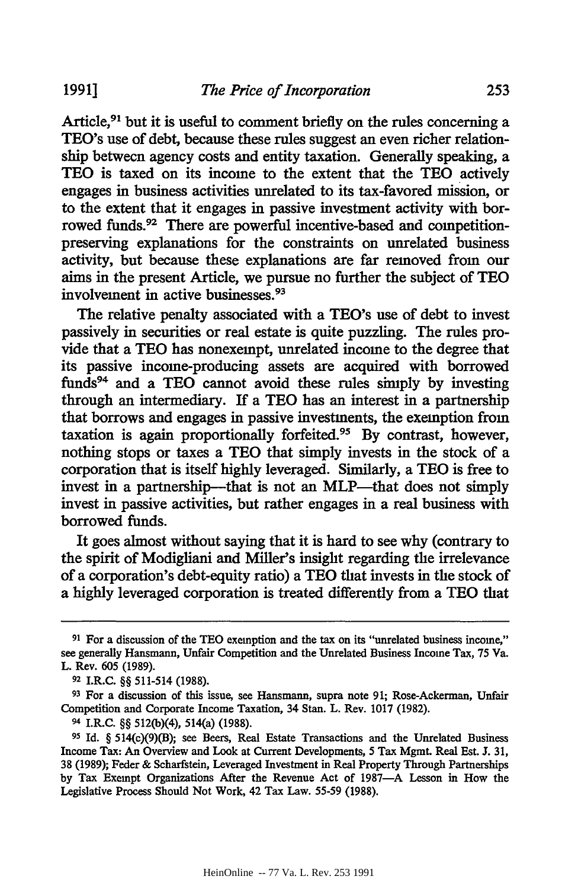Article,<sup>91</sup> but it is useful to comment briefly on the rules concerning a TEO's use of debt, because these rules suggest an even richer relationship between agency costs and entity taxation. Generally speaking, a **TEO** is taxed on its income to the extent that the **TEO** actively engages in business activities unrelated to its tax-favored mission, or to the extent that it engages in passive investment activity with borrowed funds.92 There are powerful incentive-based and competitionpreserving explanations for the constraints on unrelated business activity, but because these explanations are far removed from our aims in the present Article, we pursue no further the subject of TEO involvement in active businesses. <sup>93</sup>

The relative penalty associated with a TEO's use of debt to invest passively in securities or real estate is quite puzzling. The rules provide that a **TEO** has nonexempt, unrelated income to the degree that its passive income-producing assets are acquired with borrowed funds<sup>94</sup> and a TEO cannot avoid these rules simply by investing through an intermediary. If a TEO has an interest in a partnership that borrows and engages in passive investments, the exemption from taxation is again proportionally forfeited.<sup>95</sup> By contrast, however, nothing stops or taxes a TEO that simply invests in the stock of a corporation that is itself highly leveraged. Similarly, a **TEO** is free to invest in a partnership-that is not an MLP-that does not simply invest in passive activities, but rather engages in a real business with borrowed funds.

It goes almost without saying that it is hard to see why (contrary to the spirit of Modigliani and Miller's insight regarding the irrelevance of a corporation's debt-equity ratio) a **TEO** that invests in the stock of a highly leveraged corporation is treated differently from a **TEO** that

**<sup>91</sup>** For a discussion of the TEO exemption and the tax on its "unrelated business income," see generally Hansmann, Unfair Competition and the Unrelated Business Income Tax, **75** Va. L. Rev. 605 (1989).

**<sup>92</sup>**I.R.C. §§ 511-514 (1988).

**<sup>93</sup>**For a discussion of this issue, see Hansmann, supra note 91; Rose-Ackerman, Unfair Competition and Corporate Income Taxation, 34 Stan. L. Rev. 1017 (1982).

**<sup>94</sup>**I.R.C. §§ 512(b)(4), 514(a) (1988).

**<sup>95</sup> Id.** § 514(c)(9)(B); see Beers, Real Estate Transactions and the Unrelated Business Income Tax: An Overview and Look at Current Developments, 5 Tax Mgmt. Real Est. **J.** 31, 38 (1989); Feder **&** Scharfstein, Leveraged Investment in Real Property Through Partnerships by Tax Exempt Organizations After the Revenue Act of 1987-A Lesson in How the Legislative Process Should Not Work, 42 Tax Law. 55-59 (1988).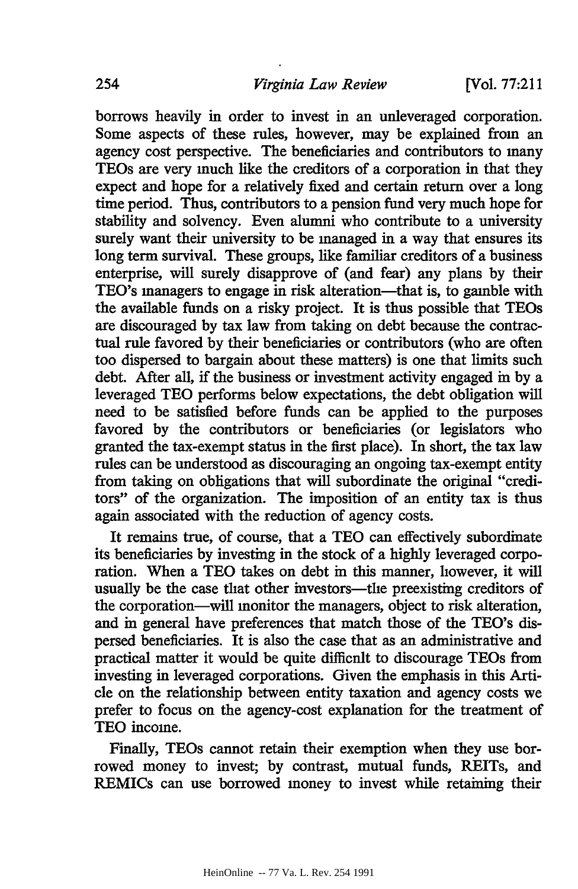borrows heavily in order to invest in an unleveraged corporation. Some aspects of these rules, however, may be explained from an agency cost perspective. The beneficiaries and contributors to many TEOs are very much like the creditors of a corporation in that they expect and hope for a relatively fixed and certain return over a long time period. Thus, contributors to a pension fund very much hope for stability and solvency. Even alumni who contribute to a university surely want their university to be managed in a way that ensures its long term survival. These groups, like familiar creditors of a business enterprise, will surely disapprove of (and fear) any plans by their TEO's managers to engage in risk alteration—that is, to gamble with the available funds on a risky project. It is thus possible that TEOs are discouraged by tax law from taking on debt because the contractual rule favored by their beneficiaries or contributors (who are often too dispersed to bargain about these matters) is one that limits such debt. After all, if the business or investment activity engaged in by a leveraged **TEO** performs below expectations, the debt obligation will need to be satisfied before funds can be applied to the purposes favored by the contributors or beneficiaries (or legislators who granted the tax-exempt status in the first place). In short, the tax law rules can be understood as discouraging an ongoing tax-exempt entity from taking on obligations that will subordinate the original "creditors" of the organization. The imposition of an entity tax is thus again associated with the reduction of agency costs.

It remains true, of course, that a TEO can effectively subordinate its beneficiaries by investing in the stock of a highly leveraged corporation. When a **TEO** takes on debt in this manner, however, it will usually be the case that other investors—the preexisting creditors of the corporation-will monitor the managers, object to risk alteration, and in general have preferences that match those of the TEO's dispersed beneficiaries. It is also the case that as an administrative and practical matter it would be quite difficult to discourage TEOs from investing in leveraged corporations. Given the emphasis in this Article on the relationship between entity taxation and agency costs we prefer to focus on the agency-cost explanation for the treatment of TEO income.

Finally, TEOs cannot retain their exemption when they use borrowed money to invest; by contrast, mutual funds, REITs, and REMICs can use borrowed money to invest while retaining their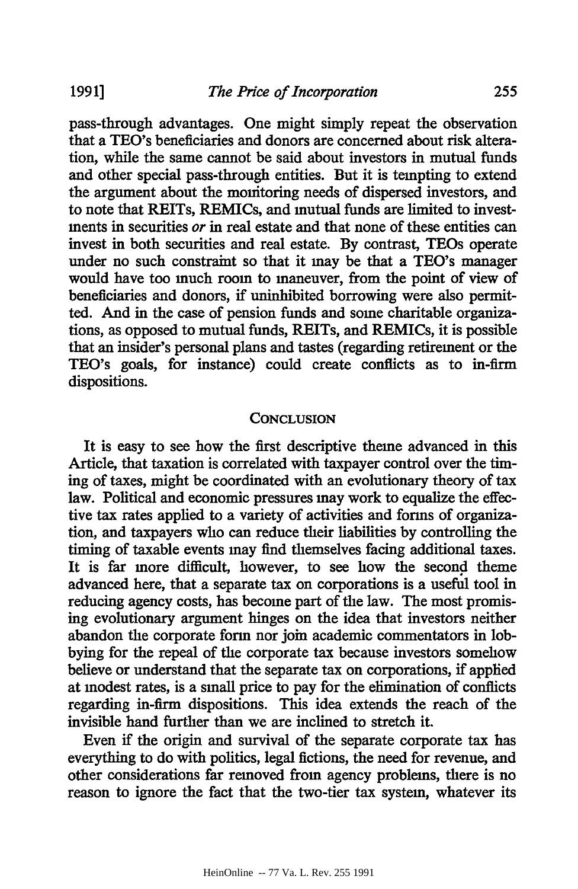pass-through advantages. One might simply repeat the observation that a TEO's beneficiaries and donors are concerned about risk alteration, while the same cannot be said about investors in mutual funds and other special pass-through entities. But it is tempting to extend the argument about the monitoring needs of dispersed investors, and to note that REITs, REMICs, and mutual funds are limited to investments in securities *or* in real estate and that none of these entities can invest in both securities and real estate. By contrast, TEOs operate under no such constraint so that it may be that a TEO's manager would have too much room to maneuver, from the point of view of beneficiaries and donors, if uninhibited borrowing were also permitted. And in the case of pension funds and some charitable organizations, as opposed to mutual funds, REITs, and REMICs, it is possible that an insider's personal plans and tastes (regarding retirement or the TEO's goals, for instance) could create conflicts as to in-firm dispositions.

#### **CONCLUSION**

It is easy to see how the first descriptive theme advanced in this Article, that taxation is correlated with taxpayer control over the timing of taxes, might be coordinated with an evolutionary theory of tax law. Political and economic pressures may work to equalize the effective tax rates applied to a variety of activities and forms of organization, and taxpayers who can reduce their liabilities by controlling the timing of taxable events may find themselves facing additional taxes. It is far more difficult, however, to see how the second theme advanced here, that a separate tax on corporations is a useful tool in reducing agency costs, has become part of the law. The most promising evolutionary argument hinges on the idea that investors neither abandon the corporate form nor join academic commentators in lobbying for the repeal of the corporate tax because investors somehow believe or understand that the separate tax on corporations, if applied at modest rates, is a small price to pay for the elimination of conflicts regarding in-firm dispositions. This idea extends the reach of the invisible hand further than we are inclined to stretch it.

Even if the origin and survival of the separate corporate tax has everything to do with politics, legal fictions, the need for revenue, and other considerations far removed from agency problems, there is no reason to ignore the fact that the two-tier tax system, whatever its